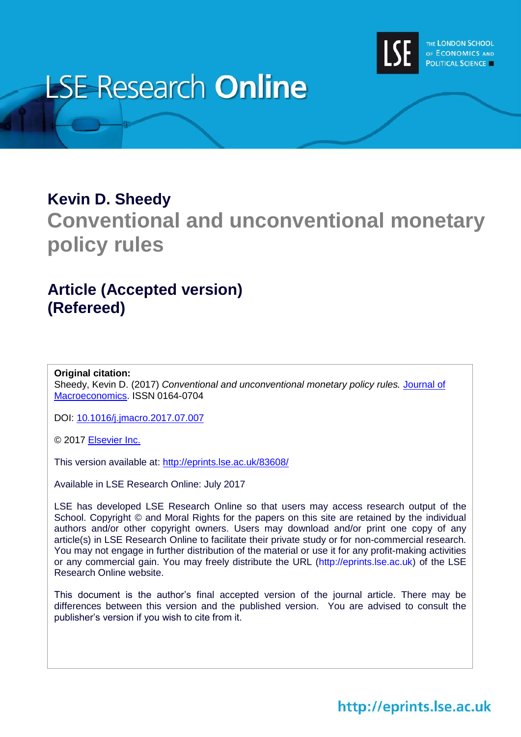

# **LSE Research Online**

## **Kevin D. Sheedy**

## **Conventional and unconventional monetary policy rules**

## **Article (Accepted version) (Refereed)**

#### **Original citation:**

Sheedy, Kevin D. (2017) *Conventional and unconventional monetary policy rules.* [Journal of](https://www.journals.elsevier.com/Journal-of-Macroeconomics)  [Macroeconomics.](https://www.journals.elsevier.com/Journal-of-Macroeconomics) ISSN 0164-0704

DOI: [10.1016/j.jmacro.2017.07.007](http://doi.org/10.1016/j.jmacro.2017.07.007)

© 2017 [Elsevier Inc.](https://www.elsevier.com/)

This version available at:<http://eprints.lse.ac.uk/83608/>

Available in LSE Research Online: July 2017

LSE has developed LSE Research Online so that users may access research output of the School. Copyright © and Moral Rights for the papers on this site are retained by the individual authors and/or other copyright owners. Users may download and/or print one copy of any article(s) in LSE Research Online to facilitate their private study or for non-commercial research. You may not engage in further distribution of the material or use it for any profit-making activities or any commercial gain. You may freely distribute the URL (http://eprints.lse.ac.uk) of the LSE Research Online website.

This document is the author's final accepted version of the journal article. There may be differences between this version and the published version. You are advised to consult the publisher's version if you wish to cite from it.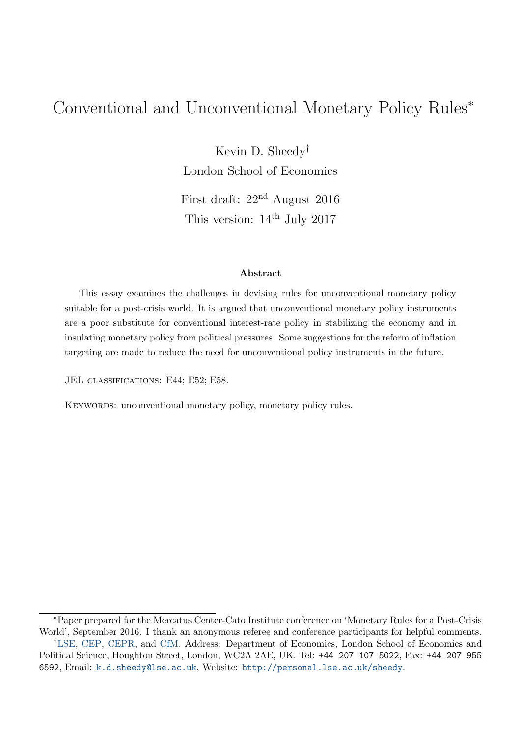## Conventional and Unconventional Monetary Policy Rules<sup>∗</sup>

Kevin D. Sheedy† London School of Economics

First draft: 22nd August 2016 This version:  $14<sup>th</sup>$  July 2017

#### Abstract

This essay examines the challenges in devising rules for unconventional monetary policy suitable for a post-crisis world. It is argued that unconventional monetary policy instruments are a poor substitute for conventional interest-rate policy in stabilizing the economy and in insulating monetary policy from political pressures. Some suggestions for the reform of inflation targeting are made to reduce the need for unconventional policy instruments in the future.

JEL CLASSIFICATIONS: E44; E52; E58.

KEYWORDS: unconventional monetary policy, monetary policy rules.

<sup>∗</sup>Paper prepared for the Mercatus Center-Cato Institute conference on 'Monetary Rules for a Post-Crisis World', September 2016. I thank an anonymous referee and conference participants for helpful comments.

<sup>†</sup>[LSE,](http://econ.lse.ac.uk/) [CEP,](http://cep.lse.ac.uk/) [CEPR,](http://www.cepr.org/) and [CfM.](http://www.centreformacroeconomics.ac.uk/) Address: Department of Economics, London School of Economics and Political Science, Houghton Street, London, WC2A 2AE, UK. Tel: +44 207 107 5022, Fax: +44 207 955 6592, Email: [k.d.sheedy@lse.ac.uk](mailto:k.d.sheedy@lse.ac.uk), Website: <http://personal.lse.ac.uk/sheedy>.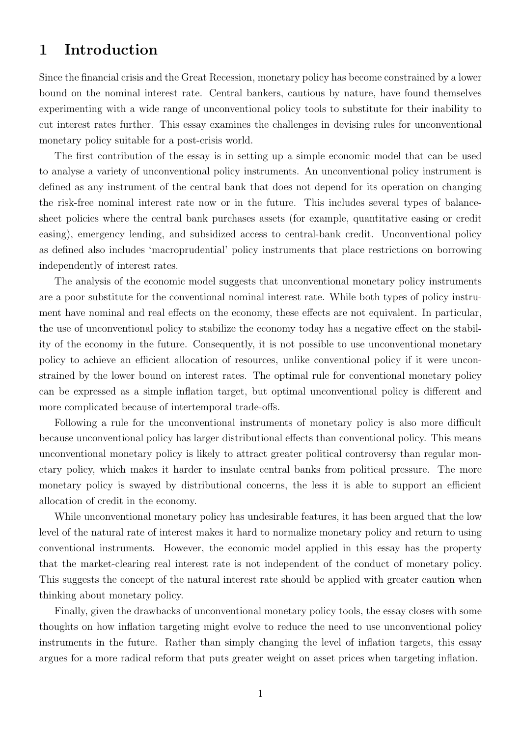## 1 Introduction

Since the financial crisis and the Great Recession, monetary policy has become constrained by a lower bound on the nominal interest rate. Central bankers, cautious by nature, have found themselves experimenting with a wide range of unconventional policy tools to substitute for their inability to cut interest rates further. This essay examines the challenges in devising rules for unconventional monetary policy suitable for a post-crisis world.

The first contribution of the essay is in setting up a simple economic model that can be used to analyse a variety of unconventional policy instruments. An unconventional policy instrument is defined as any instrument of the central bank that does not depend for its operation on changing the risk-free nominal interest rate now or in the future. This includes several types of balancesheet policies where the central bank purchases assets (for example, quantitative easing or credit easing), emergency lending, and subsidized access to central-bank credit. Unconventional policy as defined also includes 'macroprudential' policy instruments that place restrictions on borrowing independently of interest rates.

The analysis of the economic model suggests that unconventional monetary policy instruments are a poor substitute for the conventional nominal interest rate. While both types of policy instrument have nominal and real effects on the economy, these effects are not equivalent. In particular, the use of unconventional policy to stabilize the economy today has a negative effect on the stability of the economy in the future. Consequently, it is not possible to use unconventional monetary policy to achieve an efficient allocation of resources, unlike conventional policy if it were unconstrained by the lower bound on interest rates. The optimal rule for conventional monetary policy can be expressed as a simple inflation target, but optimal unconventional policy is different and more complicated because of intertemporal trade-offs.

Following a rule for the unconventional instruments of monetary policy is also more difficult because unconventional policy has larger distributional effects than conventional policy. This means unconventional monetary policy is likely to attract greater political controversy than regular monetary policy, which makes it harder to insulate central banks from political pressure. The more monetary policy is swayed by distributional concerns, the less it is able to support an efficient allocation of credit in the economy.

While unconventional monetary policy has undesirable features, it has been argued that the low level of the natural rate of interest makes it hard to normalize monetary policy and return to using conventional instruments. However, the economic model applied in this essay has the property that the market-clearing real interest rate is not independent of the conduct of monetary policy. This suggests the concept of the natural interest rate should be applied with greater caution when thinking about monetary policy.

Finally, given the drawbacks of unconventional monetary policy tools, the essay closes with some thoughts on how inflation targeting might evolve to reduce the need to use unconventional policy instruments in the future. Rather than simply changing the level of inflation targets, this essay argues for a more radical reform that puts greater weight on asset prices when targeting inflation.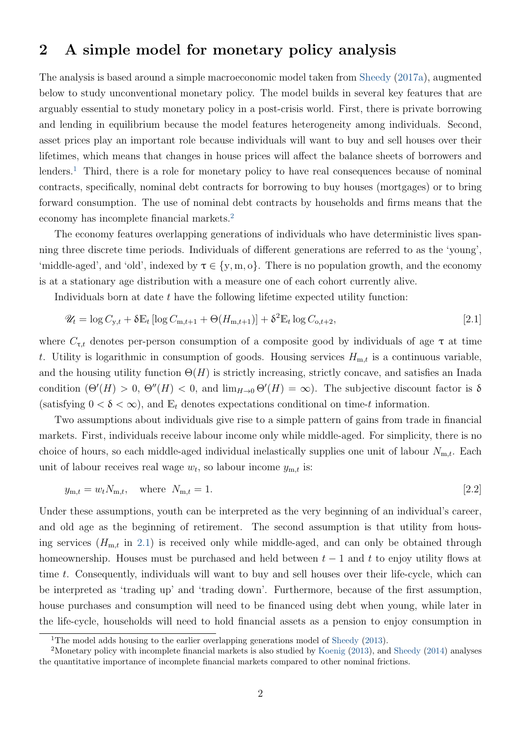### <span id="page-3-4"></span><span id="page-3-3"></span>2 A simple model for monetary policy analysis

The analysis is based around a simple macroeconomic model taken from [Sheedy](#page-23-0) [\(2017a\)](#page-23-0), augmented below to study unconventional monetary policy. The model builds in several key features that are arguably essential to study monetary policy in a post-crisis world. First, there is private borrowing and lending in equilibrium because the model features heterogeneity among individuals. Second, asset prices play an important role because individuals will want to buy and sell houses over their lifetimes, which means that changes in house prices will affect the balance sheets of borrowers and lenders.<sup>[1](#page-3-0)</sup> Third, there is a role for monetary policy to have real consequences because of nominal contracts, specifically, nominal debt contracts for borrowing to buy houses (mortgages) or to bring forward consumption. The use of nominal debt contracts by households and firms means that the economy has incomplete financial markets.[2](#page-3-1)

The economy features overlapping generations of individuals who have deterministic lives spanning three discrete time periods. Individuals of different generations are referred to as the 'young', 'middle-aged', and 'old', indexed by  $\tau \in \{y, m, o\}$ . There is no population growth, and the economy is at a stationary age distribution with a measure one of each cohort currently alive.

Individuals born at date t have the following lifetime expected utility function:

<span id="page-3-2"></span>
$$
\mathscr{U}_t = \log C_{\mathbf{y},t} + \delta \mathbb{E}_t \left[ \log C_{\mathbf{m},t+1} + \Theta(H_{\mathbf{m},t+1}) \right] + \delta^2 \mathbb{E}_t \log C_{\mathbf{o},t+2},\tag{2.1}
$$

where  $C_{\tau,t}$  denotes per-person consumption of a composite good by individuals of age  $\tau$  at time t. Utility is logarithmic in consumption of goods. Housing services  $H_{m,t}$  is a continuous variable, and the housing utility function  $\Theta(H)$  is strictly increasing, strictly concave, and satisfies an Inada condition  $(\Theta'(H) > 0, \Theta''(H) < 0$ , and  $\lim_{H\to 0} \Theta'(H) = \infty$ ). The subjective discount factor is δ (satisfying  $0 < \delta < \infty$ ), and  $\mathbb{E}_t$  denotes expectations conditional on time-t information.

Two assumptions about individuals give rise to a simple pattern of gains from trade in financial markets. First, individuals receive labour income only while middle-aged. For simplicity, there is no choice of hours, so each middle-aged individual inelastically supplies one unit of labour  $N_{m,t}$ . Each unit of labour receives real wage  $w_t$ , so labour income  $y_{m,t}$  is:

$$
y_{\mathrm{m},t} = w_t N_{\mathrm{m},t}, \quad \text{where} \quad N_{\mathrm{m},t} = 1. \tag{2.2}
$$

Under these assumptions, youth can be interpreted as the very beginning of an individual's career, and old age as the beginning of retirement. The second assumption is that utility from housing services  $(H_{m,t}$  in [2.1\)](#page-3-2) is received only while middle-aged, and can only be obtained through homeownership. Houses must be purchased and held between  $t-1$  and t to enjoy utility flows at time t. Consequently, individuals will want to buy and sell houses over their life-cycle, which can be interpreted as 'trading up' and 'trading down'. Furthermore, because of the first assumption, house purchases and consumption will need to be financed using debt when young, while later in the life-cycle, households will need to hold financial assets as a pension to enjoy consumption in

<span id="page-3-1"></span><span id="page-3-0"></span><sup>&</sup>lt;sup>1</sup>The model adds housing to the earlier overlapping generations model of [Sheedy](#page-23-1) [\(2013\)](#page-23-1).

<sup>2</sup>Monetary policy with incomplete financial markets is also studied by [Koenig](#page-23-2) [\(2013\)](#page-23-2), and [Sheedy](#page-23-3) [\(2014\)](#page-23-3) analyses the quantitative importance of incomplete financial markets compared to other nominal frictions.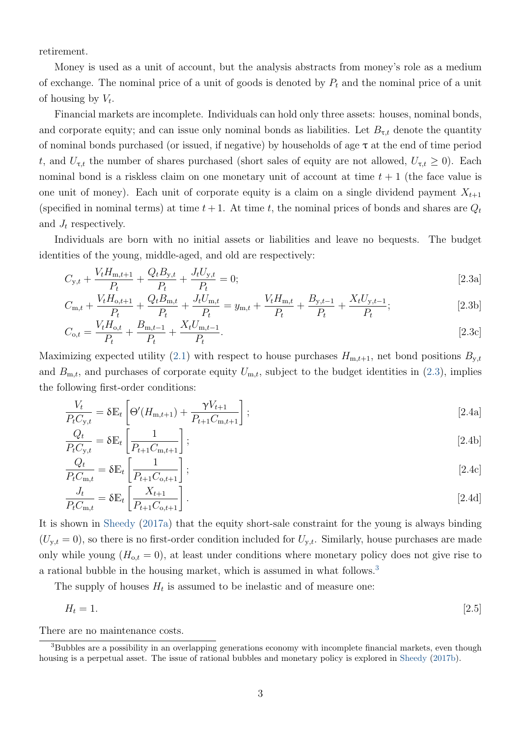<span id="page-4-5"></span>retirement.

Money is used as a unit of account, but the analysis abstracts from money's role as a medium of exchange. The nominal price of a unit of goods is denoted by  $P_t$  and the nominal price of a unit of housing by  $V_t$ .

Financial markets are incomplete. Individuals can hold only three assets: houses, nominal bonds, and corporate equity; and can issue only nominal bonds as liabilities. Let  $B_{\tau,t}$  denote the quantity of nominal bonds purchased (or issued, if negative) by households of age  $\tau$  at the end of time period t, and  $U_{\tau,t}$  the number of shares purchased (short sales of equity are not allowed,  $U_{\tau,t} \geq 0$ ). Each nominal bond is a riskless claim on one monetary unit of account at time  $t + 1$  (the face value is one unit of money). Each unit of corporate equity is a claim on a single dividend payment  $X_{t+1}$ (specified in nominal terms) at time  $t + 1$ . At time t, the nominal prices of bonds and shares are  $Q_t$ and  $J_t$  respectively.

Individuals are born with no initial assets or liabilities and leave no bequests. The budget identities of the young, middle-aged, and old are respectively:

<span id="page-4-3"></span><span id="page-4-0"></span>
$$
C_{y,t} + \frac{V_t H_{m,t+1}}{P_t} + \frac{Q_t B_{y,t}}{P_t} + \frac{J_t U_{y,t}}{P_t} = 0;
$$
\n(2.3a)

$$
C_{\text{m},t} + \frac{V_t H_{\text{o},t+1}}{P_t} + \frac{Q_t B_{\text{m},t}}{P_t} + \frac{J_t U_{\text{m},t}}{P_t} = y_{\text{m},t} + \frac{V_t H_{\text{m},t}}{P_t} + \frac{B_{\text{y},t-1}}{P_t} + \frac{X_t U_{\text{y},t-1}}{P_t};
$$
\n
$$
\tag{2.3b}
$$

$$
C_{o,t} = \frac{V_t H_{o,t}}{P_t} + \frac{B_{m,t-1}}{P_t} + \frac{X_t U_{m,t-1}}{P_t}.
$$
\n(2.3c)

Maximizing expected utility [\(2.1\)](#page-3-2) with respect to house purchases  $H_{m,t+1}$ , net bond positions  $B_{y,t}$ and  $B_{m,t}$ , and purchases of corporate equity  $U_{m,t}$ , subject to the budget identities in [\(2.3\)](#page-4-0), implies the following first-order conditions:

$$
\frac{V_t}{P_t C_{y,t}} = \delta \mathbb{E}_t \left[ \Theta'(H_{m,t+1}) + \frac{\gamma V_{t+1}}{P_{t+1} C_{m,t+1}} \right];
$$
\n(2.4a)

<span id="page-4-4"></span><span id="page-4-2"></span>
$$
\frac{Q_t}{P_t C_{\mathbf{y},t}} = \delta \mathbb{E}_t \left[ \frac{1}{P_{t+1} C_{\mathbf{m},t+1}} \right];\tag{2.4b}
$$

$$
\frac{Q_t}{P_t C_{\text{m},t}} = \delta \mathbb{E}_t \left[ \frac{1}{P_{t+1} C_{\text{o},t+1}} \right];\tag{2.4c}
$$

$$
\frac{J_t}{P_t C_{\text{m},t}} = \delta \mathbb{E}_t \left[ \frac{X_{t+1}}{P_{t+1} C_{\text{o},t+1}} \right].
$$
\n
$$
\tag{2.4d}
$$

It is shown in [Sheedy](#page-23-0) [\(2017a\)](#page-23-0) that the equity short-sale constraint for the young is always binding  $(U_{y,t} = 0)$ , so there is no first-order condition included for  $U_{y,t}$ . Similarly, house purchases are made only while young  $(H_{o,t} = 0)$ , at least under conditions where monetary policy does not give rise to a rational bubble in the housing market, which is assumed in what follows.<sup>[3](#page-4-1)</sup>

The supply of houses  $H_t$  is assumed to be inelastic and of measure one:

$$
H_t = 1.\t\t[2.5]
$$

There are no maintenance costs.

<span id="page-4-1"></span><sup>3</sup>Bubbles are a possibility in an overlapping generations economy with incomplete financial markets, even though housing is a perpetual asset. The issue of rational bubbles and monetary policy is explored in [Sheedy](#page-23-4) [\(2017b\)](#page-23-4).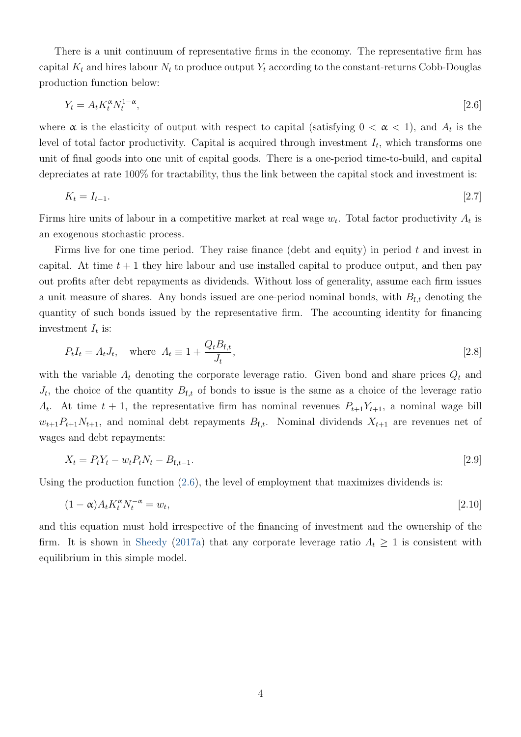<span id="page-5-1"></span>There is a unit continuum of representative firms in the economy. The representative firm has capital  $K_t$  and hires labour  $N_t$  to produce output  $Y_t$  according to the constant-returns Cobb-Douglas production function below:

<span id="page-5-0"></span>
$$
Y_t = A_t K_t^{\alpha} N_t^{1-\alpha},\tag{2.6}
$$

where  $\alpha$  is the elasticity of output with respect to capital (satisfying  $0 < \alpha < 1$ ), and  $A_t$  is the level of total factor productivity. Capital is acquired through investment  $I_t$ , which transforms one unit of final goods into one unit of capital goods. There is a one-period time-to-build, and capital depreciates at rate 100% for tractability, thus the link between the capital stock and investment is:

$$
K_t = I_{t-1}.\tag{2.7}
$$

Firms hire units of labour in a competitive market at real wage  $w_t$ . Total factor productivity  $A_t$  is an exogenous stochastic process.

Firms live for one time period. They raise finance (debt and equity) in period  $t$  and invest in capital. At time  $t + 1$  they hire labour and use installed capital to produce output, and then pay out profits after debt repayments as dividends. Without loss of generality, assume each firm issues a unit measure of shares. Any bonds issued are one-period nominal bonds, with  $B_{f,t}$  denoting the quantity of such bonds issued by the representative firm. The accounting identity for financing investment  $I_t$  is:

$$
P_t I_t = \Lambda_t J_t, \quad \text{where } \Lambda_t \equiv 1 + \frac{Q_t B_{\text{f},t}}{J_t}, \tag{2.8}
$$

with the variable  $\Lambda_t$  denoting the corporate leverage ratio. Given bond and share prices  $Q_t$  and  $J_t$ , the choice of the quantity  $B_{f,t}$  of bonds to issue is the same as a choice of the leverage ratio  $\Lambda_t$ . At time  $t+1$ , the representative firm has nominal revenues  $P_{t+1}Y_{t+1}$ , a nominal wage bill  $w_{t+1}P_{t+1}N_{t+1}$ , and nominal debt repayments  $B_{f,t}$ . Nominal dividends  $X_{t+1}$  are revenues net of wages and debt repayments:

$$
X_t = P_t Y_t - w_t P_t N_t - B_{t,t-1}.
$$
\n<sup>(2.9)</sup>

Using the production function [\(2.6\)](#page-5-0), the level of employment that maximizes dividends is:

$$
(1 - \alpha)A_t K_t^{\alpha} N_t^{-\alpha} = w_t,
$$
\n<sup>(2.10)</sup>

and this equation must hold irrespective of the financing of investment and the ownership of the firm. It is shown in [Sheedy](#page-23-0) [\(2017a\)](#page-23-0) that any corporate leverage ratio  $\Lambda_t \geq 1$  is consistent with equilibrium in this simple model.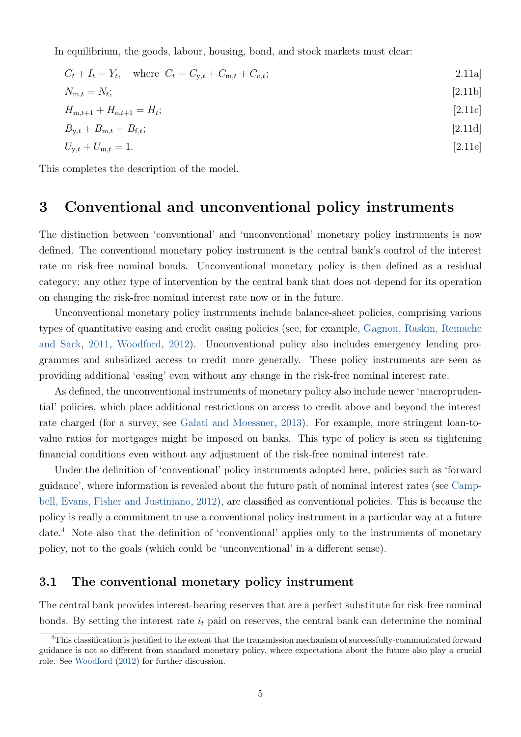<span id="page-6-3"></span>In equilibrium, the goods, labour, housing, bond, and stock markets must clear:

<span id="page-6-1"></span>
$$
C_{t} + I_{t} = Y_{t}, \text{ where } C_{t} = C_{y,t} + C_{m,t} + C_{o,t};
$$
\n
$$
N_{m,t} = N_{t};
$$
\n
$$
H_{m,t+1} + H_{o,t+1} = H_{t};
$$
\n
$$
B_{y,t} + B_{m,t} = B_{f,t};
$$
\n
$$
U_{y,t} + U_{m,t} = 1.
$$
\n
$$
[2.11c]
$$
\n
$$
[2.11d]
$$
\n
$$
U_{y,t} + U_{m,t} = 1.
$$
\n
$$
[2.11e]
$$

This completes the description of the model.

## <span id="page-6-2"></span>3 Conventional and unconventional policy instruments

The distinction between 'conventional' and 'unconventional' monetary policy instruments is now defined. The conventional monetary policy instrument is the central bank's control of the interest rate on risk-free nominal bonds. Unconventional monetary policy is then defined as a residual category: any other type of intervention by the central bank that does not depend for its operation on changing the risk-free nominal interest rate now or in the future.

Unconventional monetary policy instruments include balance-sheet policies, comprising various types of quantitative easing and credit easing policies (see, for example, [Gagnon, Raskin, Remache](#page-22-0) [and Sack,](#page-22-0) [2011,](#page-22-0) [Woodford,](#page-23-5) [2012\)](#page-23-5). Unconventional policy also includes emergency lending programmes and subsidized access to credit more generally. These policy instruments are seen as providing additional 'easing' even without any change in the risk-free nominal interest rate.

As defined, the unconventional instruments of monetary policy also include newer 'macroprudential' policies, which place additional restrictions on access to credit above and beyond the interest rate charged (for a survey, see [Galati and Moessner,](#page-23-6) [2013\)](#page-23-6). For example, more stringent loan-tovalue ratios for mortgages might be imposed on banks. This type of policy is seen as tightening financial conditions even without any adjustment of the risk-free nominal interest rate.

Under the definition of 'conventional' policy instruments adopted here, policies such as 'forward guidance', where information is revealed about the future path of nominal interest rates (see [Camp](#page-22-1)[bell, Evans, Fisher and Justiniano,](#page-22-1) [2012\)](#page-22-1), are classified as conventional policies. This is because the policy is really a commitment to use a conventional policy instrument in a particular way at a future date.[4](#page-6-0) Note also that the definition of 'conventional' applies only to the instruments of monetary policy, not to the goals (which could be 'unconventional' in a different sense).

#### 3.1 The conventional monetary policy instrument

The central bank provides interest-bearing reserves that are a perfect substitute for risk-free nominal bonds. By setting the interest rate  $i_t$  paid on reserves, the central bank can determine the nominal

<span id="page-6-0"></span><sup>4</sup>This classification is justified to the extent that the transmission mechanism of successfully-communicated forward guidance is not so different from standard monetary policy, where expectations about the future also play a crucial role. See [Woodford](#page-23-5) [\(2012\)](#page-23-5) for further discussion.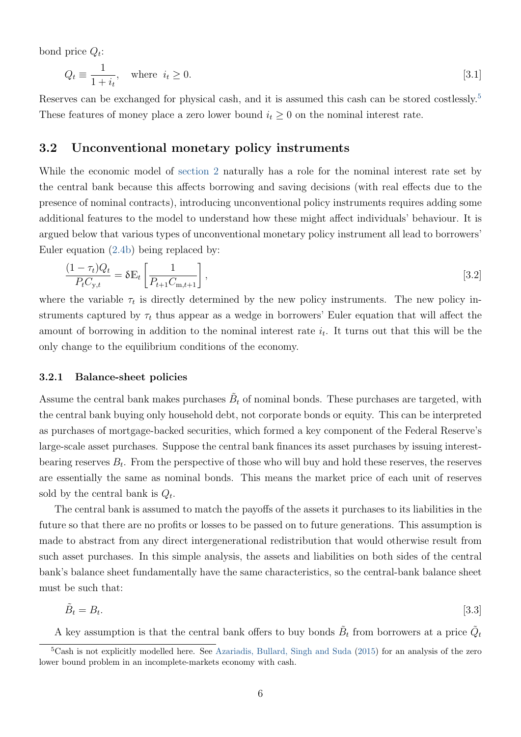<span id="page-7-5"></span>bond price  $Q_t$ :

<span id="page-7-4"></span>
$$
Q_t \equiv \frac{1}{1+i_t}, \quad \text{where } i_t \ge 0. \tag{3.1}
$$

Reserves can be exchanged for physical cash, and it is assumed this cash can be stored costlessly.<sup>[5](#page-7-0)</sup> These features of money place a zero lower bound  $i_t \geq 0$  on the nominal interest rate.

#### <span id="page-7-3"></span>3.2 Unconventional monetary policy instruments

While the economic model of [section 2](#page-3-3) naturally has a role for the nominal interest rate set by the central bank because this affects borrowing and saving decisions (with real effects due to the presence of nominal contracts), introducing unconventional policy instruments requires adding some additional features to the model to understand how these might affect individuals' behaviour. It is argued below that various types of unconventional monetary policy instrument all lead to borrowers' Euler equation [\(2.4b\)](#page-4-2) being replaced by:

<span id="page-7-2"></span>
$$
\frac{(1-\tau_t)Q_t}{P_t C_{y,t}} = \delta \mathbb{E}_t \left[ \frac{1}{P_{t+1} C_{m,t+1}} \right],
$$
\n(3.2)

where the variable  $\tau_t$  is directly determined by the new policy instruments. The new policy instruments captured by  $\tau_t$  thus appear as a wedge in borrowers' Euler equation that will affect the amount of borrowing in addition to the nominal interest rate  $i_t$ . It turns out that this will be the only change to the equilibrium conditions of the economy.

#### 3.2.1 Balance-sheet policies

Assume the central bank makes purchases  $\tilde{B}_t$  of nominal bonds. These purchases are targeted, with the central bank buying only household debt, not corporate bonds or equity. This can be interpreted as purchases of mortgage-backed securities, which formed a key component of the Federal Reserve's large-scale asset purchases. Suppose the central bank finances its asset purchases by issuing interestbearing reserves  $B_t$ . From the perspective of those who will buy and hold these reserves, the reserves are essentially the same as nominal bonds. This means the market price of each unit of reserves sold by the central bank is  $Q_t$ .

The central bank is assumed to match the payoffs of the assets it purchases to its liabilities in the future so that there are no profits or losses to be passed on to future generations. This assumption is made to abstract from any direct intergenerational redistribution that would otherwise result from such asset purchases. In this simple analysis, the assets and liabilities on both sides of the central bank's balance sheet fundamentally have the same characteristics, so the central-bank balance sheet must be such that:

<span id="page-7-1"></span>
$$
\tilde{B}_t = B_t. \tag{3.3}
$$

A key assumption is that the central bank offers to buy bonds  $\tilde{B}_t$  from borrowers at a price  $\tilde{Q}_t$ 

<span id="page-7-0"></span><sup>5</sup>Cash is not explicitly modelled here. See [Azariadis, Bullard, Singh and Suda](#page-22-2) [\(2015\)](#page-22-2) for an analysis of the zero lower bound problem in an incomplete-markets economy with cash.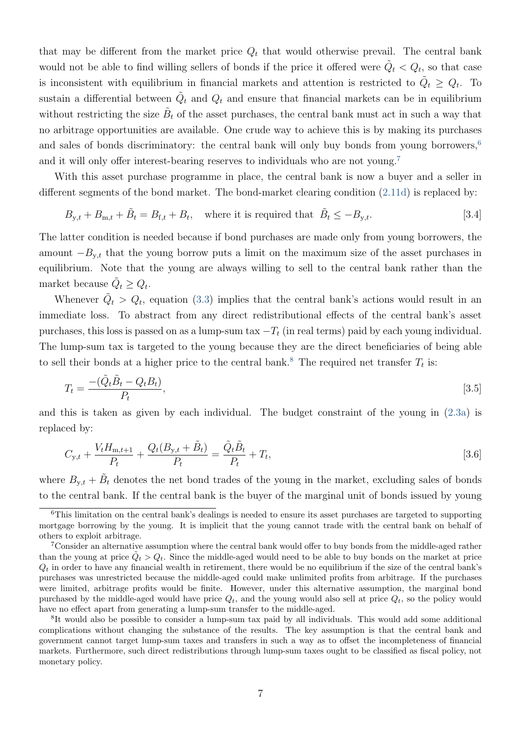that may be different from the market price  $Q_t$  that would otherwise prevail. The central bank would not be able to find willing sellers of bonds if the price it offered were  $\tilde{Q}_t < Q_t$ , so that case is inconsistent with equilibrium in financial markets and attention is restricted to  $\tilde{Q}_t \geq Q_t$ . To sustain a differential between  $\tilde{Q}_t$  and  $Q_t$  and ensure that financial markets can be in equilibrium without restricting the size  $\tilde{B}_t$  of the asset purchases, the central bank must act in such a way that no arbitrage opportunities are available. One crude way to achieve this is by making its purchases and sales of bonds discriminatory: the central bank will only buy bonds from young borrowers,<sup>[6](#page-8-0)</sup> and it will only offer interest-bearing reserves to individuals who are not young.[7](#page-8-1)

With this asset purchase programme in place, the central bank is now a buyer and a seller in different segments of the bond market. The bond-market clearing condition [\(2.11d\)](#page-6-1) is replaced by:

<span id="page-8-5"></span>
$$
B_{y,t} + B_{m,t} + \tilde{B}_t = B_{f,t} + B_t, \quad \text{where it is required that } \tilde{B}_t \le -B_{y,t}.
$$
 [3.4]

The latter condition is needed because if bond purchases are made only from young borrowers, the amount  $-B_{v,t}$  that the young borrow puts a limit on the maximum size of the asset purchases in equilibrium. Note that the young are always willing to sell to the central bank rather than the market because  $\tilde{Q}_t \geq Q_t$ .

Whenever  $\tilde{Q}_t > Q_t$ , equation [\(3.3\)](#page-7-1) implies that the central bank's actions would result in an immediate loss. To abstract from any direct redistributional effects of the central bank's asset purchases, this loss is passed on as a lump-sum tax  $-T_t$  (in real terms) paid by each young individual. The lump-sum tax is targeted to the young because they are the direct beneficiaries of being able to sell their bonds at a higher price to the central bank.<sup>[8](#page-8-2)</sup> The required net transfer  $T_t$  is:

<span id="page-8-3"></span>
$$
T_t = \frac{- (\tilde{Q}_t \tilde{B}_t - Q_t B_t)}{P_t},\tag{3.5}
$$

and this is taken as given by each individual. The budget constraint of the young in [\(2.3a\)](#page-4-3) is replaced by:

<span id="page-8-4"></span>
$$
C_{y,t} + \frac{V_t H_{m,t+1}}{P_t} + \frac{Q_t (B_{y,t} + \tilde{B}_t)}{P_t} = \frac{\tilde{Q}_t \tilde{B}_t}{P_t} + T_t,
$$
\n(3.6)

where  $B_{y,t} + \tilde{B}_t$  denotes the net bond trades of the young in the market, excluding sales of bonds to the central bank. If the central bank is the buyer of the marginal unit of bonds issued by young

<span id="page-8-0"></span><sup>6</sup>This limitation on the central bank's dealings is needed to ensure its asset purchases are targeted to supporting mortgage borrowing by the young. It is implicit that the young cannot trade with the central bank on behalf of others to exploit arbitrage.

<span id="page-8-1"></span><sup>7</sup>Consider an alternative assumption where the central bank would offer to buy bonds from the middle-aged rather than the young at price  $\tilde{Q}_t > Q_t$ . Since the middle-aged would need to be able to buy bonds on the market at price  $Q_t$  in order to have any financial wealth in retirement, there would be no equilibrium if the size of the central bank's purchases was unrestricted because the middle-aged could make unlimited profits from arbitrage. If the purchases were limited, arbitrage profits would be finite. However, under this alternative assumption, the marginal bond purchased by the middle-aged would have price  $Q_t$ , and the young would also sell at price  $Q_t$ , so the policy would have no effect apart from generating a lump-sum transfer to the middle-aged.

<span id="page-8-2"></span><sup>&</sup>lt;sup>8</sup>It would also be possible to consider a lump-sum tax paid by all individuals. This would add some additional complications without changing the substance of the results. The key assumption is that the central bank and government cannot target lump-sum taxes and transfers in such a way as to offset the incompleteness of financial markets. Furthermore, such direct redistributions through lump-sum taxes ought to be classified as fiscal policy, not monetary policy.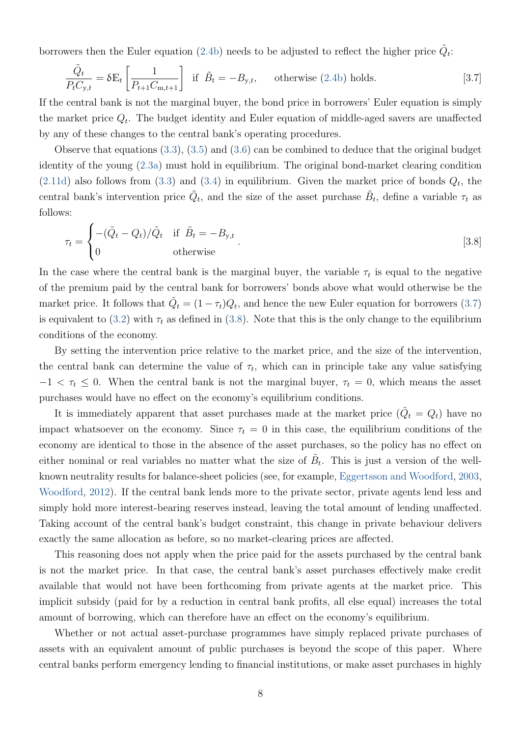<span id="page-9-2"></span>borrowers then the Euler equation [\(2.4b\)](#page-4-2) needs to be adjusted to reflect the higher price  $\tilde{Q}_t$ :

<span id="page-9-0"></span>
$$
\frac{\tilde{Q}_t}{P_t C_{y,t}} = \delta \mathbb{E}_t \left[ \frac{1}{P_{t+1} C_{m,t+1}} \right] \text{ if } \tilde{B}_t = -B_{y,t}, \quad \text{otherwise (2.4b) holds.} \tag{3.7}
$$

If the central bank is not the marginal buyer, the bond price in borrowers' Euler equation is simply the market price  $Q_t$ . The budget identity and Euler equation of middle-aged savers are unaffected by any of these changes to the central bank's operating procedures.

Observe that equations [\(3.3\)](#page-7-1), [\(3.5\)](#page-8-3) and [\(3.6\)](#page-8-4) can be combined to deduce that the original budget identity of the young [\(2.3a\)](#page-4-3) must hold in equilibrium. The original bond-market clearing condition  $(2.11d)$  also follows from  $(3.3)$  and  $(3.4)$  in equilibrium. Given the market price of bonds  $Q_t$ , the central bank's intervention price  $\tilde{Q}_t$ , and the size of the asset purchase  $\tilde{B}_t$ , define a variable  $\tau_t$  as follows:

<span id="page-9-1"></span>
$$
\tau_t = \begin{cases}\n-(\tilde{Q}_t - Q_t)/\tilde{Q}_t & \text{if } \tilde{B}_t = -B_{y,t} \\
0 & \text{otherwise}\n\end{cases}.\n\tag{3.8}
$$

In the case where the central bank is the marginal buyer, the variable  $\tau_t$  is equal to the negative of the premium paid by the central bank for borrowers' bonds above what would otherwise be the market price. It follows that  $\tilde{Q}_t = (1 - \tau_t)Q_t$ , and hence the new Euler equation for borrowers [\(3.7\)](#page-9-0) is equivalent to [\(3.2\)](#page-7-2) with  $\tau_t$  as defined in [\(3.8\)](#page-9-1). Note that this is the only change to the equilibrium conditions of the economy.

By setting the intervention price relative to the market price, and the size of the intervention, the central bank can determine the value of  $\tau_t$ , which can in principle take any value satisfying  $-1 < \tau_t \leq 0$ . When the central bank is not the marginal buyer,  $\tau_t = 0$ , which means the asset purchases would have no effect on the economy's equilibrium conditions.

It is immediately apparent that asset purchases made at the market price  $(\tilde{Q}_t = Q_t)$  have no impact whatsoever on the economy. Since  $\tau_t = 0$  in this case, the equilibrium conditions of the economy are identical to those in the absence of the asset purchases, so the policy has no effect on either nominal or real variables no matter what the size of  $\tilde{B}_t$ . This is just a version of the wellknown neutrality results for balance-sheet policies (see, for example, [Eggertsson and Woodford,](#page-22-3) [2003,](#page-22-3) [Woodford,](#page-23-5) [2012\)](#page-23-5). If the central bank lends more to the private sector, private agents lend less and simply hold more interest-bearing reserves instead, leaving the total amount of lending unaffected. Taking account of the central bank's budget constraint, this change in private behaviour delivers exactly the same allocation as before, so no market-clearing prices are affected.

This reasoning does not apply when the price paid for the assets purchased by the central bank is not the market price. In that case, the central bank's asset purchases effectively make credit available that would not have been forthcoming from private agents at the market price. This implicit subsidy (paid for by a reduction in central bank profits, all else equal) increases the total amount of borrowing, which can therefore have an effect on the economy's equilibrium.

Whether or not actual asset-purchase programmes have simply replaced private purchases of assets with an equivalent amount of public purchases is beyond the scope of this paper. Where central banks perform emergency lending to financial institutions, or make asset purchases in highly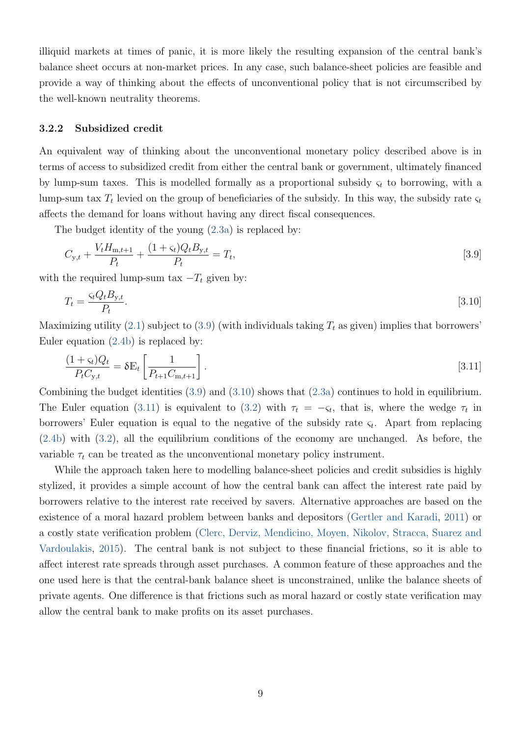<span id="page-10-4"></span>illiquid markets at times of panic, it is more likely the resulting expansion of the central bank's balance sheet occurs at non-market prices. In any case, such balance-sheet policies are feasible and provide a way of thinking about the effects of unconventional policy that is not circumscribed by the well-known neutrality theorems.

#### <span id="page-10-3"></span>3.2.2 Subsidized credit

An equivalent way of thinking about the unconventional monetary policy described above is in terms of access to subsidized credit from either the central bank or government, ultimately financed by lump-sum taxes. This is modelled formally as a proportional subsidy  $\varsigma_t$  to borrowing, with a lump-sum tax  $T_t$  levied on the group of beneficiaries of the subsidy. In this way, the subsidy rate  $\varsigma_t$ affects the demand for loans without having any direct fiscal consequences.

The budget identity of the young [\(2.3a\)](#page-4-3) is replaced by:

<span id="page-10-0"></span>
$$
C_{y,t} + \frac{V_t H_{m,t+1}}{P_t} + \frac{(1+\varsigma_t)Q_t B_{y,t}}{P_t} = T_t,
$$
\n(3.9)

with the required lump-sum tax  $-T_t$  given by:

<span id="page-10-1"></span>
$$
T_t = \frac{\varsigma_t Q_t B_{y,t}}{P_t}.
$$
\n
$$
\tag{3.10}
$$

Maximizing utility [\(2.1\)](#page-3-2) subject to [\(3.9\)](#page-10-0) (with individuals taking  $T_t$  as given) implies that borrowers' Euler equation [\(2.4b\)](#page-4-2) is replaced by:

<span id="page-10-2"></span>
$$
\frac{(1+\varsigma_t)Q_t}{P_t C_{\mathrm{y},t}} = \delta \mathbb{E}_t \left[ \frac{1}{P_{t+1} C_{\mathrm{m},t+1}} \right].
$$
\n
$$
(3.11)
$$

Combining the budget identities [\(3.9\)](#page-10-0) and [\(3.10\)](#page-10-1) shows that [\(2.3a\)](#page-4-3) continues to hold in equilibrium. The Euler equation [\(3.11\)](#page-10-2) is equivalent to [\(3.2\)](#page-7-2) with  $\tau_t = -\varsigma_t$ , that is, where the wedge  $\tau_t$  in borrowers' Euler equation is equal to the negative of the subsidy rate  $\varsigma_t$ . Apart from replacing [\(2.4b\)](#page-4-2) with [\(3.2\)](#page-7-2), all the equilibrium conditions of the economy are unchanged. As before, the variable  $\tau_t$  can be treated as the unconventional monetary policy instrument.

While the approach taken here to modelling balance-sheet policies and credit subsidies is highly stylized, it provides a simple account of how the central bank can affect the interest rate paid by borrowers relative to the interest rate received by savers. Alternative approaches are based on the existence of a moral hazard problem between banks and depositors [\(Gertler and Karadi,](#page-23-7) [2011\)](#page-23-7) or a costly state verification problem [\(Clerc, Derviz, Mendicino, Moyen, Nikolov, Stracca, Suarez and](#page-22-4) [Vardoulakis,](#page-22-4) [2015\)](#page-22-4). The central bank is not subject to these financial frictions, so it is able to affect interest rate spreads through asset purchases. A common feature of these approaches and the one used here is that the central-bank balance sheet is unconstrained, unlike the balance sheets of private agents. One difference is that frictions such as moral hazard or costly state verification may allow the central bank to make profits on its asset purchases.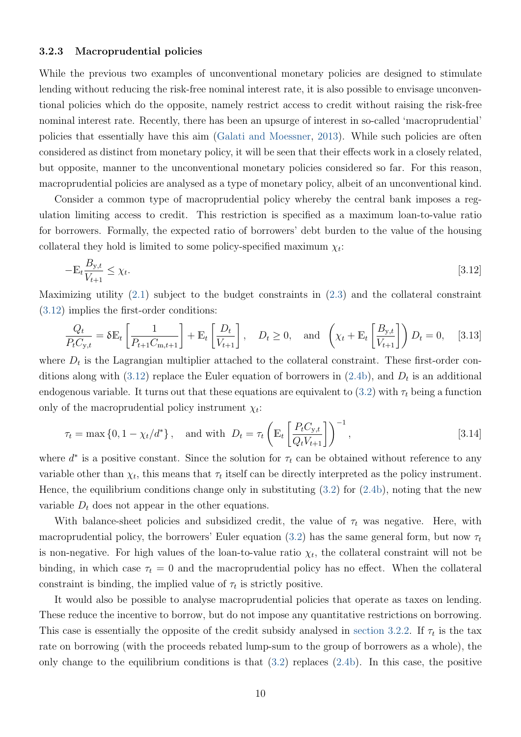#### <span id="page-11-1"></span>3.2.3 Macroprudential policies

While the previous two examples of unconventional monetary policies are designed to stimulate lending without reducing the risk-free nominal interest rate, it is also possible to envisage unconventional policies which do the opposite, namely restrict access to credit without raising the risk-free nominal interest rate. Recently, there has been an upsurge of interest in so-called 'macroprudential' policies that essentially have this aim [\(Galati and Moessner,](#page-23-6) [2013\)](#page-23-6). While such policies are often considered as distinct from monetary policy, it will be seen that their effects work in a closely related, but opposite, manner to the unconventional monetary policies considered so far. For this reason, macroprudential policies are analysed as a type of monetary policy, albeit of an unconventional kind.

Consider a common type of macroprudential policy whereby the central bank imposes a regulation limiting access to credit. This restriction is specified as a maximum loan-to-value ratio for borrowers. Formally, the expected ratio of borrowers' debt burden to the value of the housing collateral they hold is limited to some policy-specified maximum  $\chi_t$ :

<span id="page-11-0"></span>
$$
-\mathbb{E}_t \frac{B_{\mathbf{y},t}}{V_{t+1}} \le \chi_t. \tag{3.12}
$$

Maximizing utility [\(2.1\)](#page-3-2) subject to the budget constraints in [\(2.3\)](#page-4-0) and the collateral constraint [\(3.12\)](#page-11-0) implies the first-order conditions:

<span id="page-11-3"></span>
$$
\frac{Q_t}{P_t C_{y,t}} = \delta \mathbb{E}_t \left[ \frac{1}{P_{t+1} C_{m,t+1}} \right] + \mathbb{E}_t \left[ \frac{D_t}{V_{t+1}} \right], \quad D_t \ge 0, \text{ and } \left( \chi_t + \mathbb{E}_t \left[ \frac{B_{y,t}}{V_{t+1}} \right] \right) D_t = 0, \quad [3.13]
$$

where  $D_t$  is the Lagrangian multiplier attached to the collateral constraint. These first-order con-ditions along with [\(3.12\)](#page-11-0) replace the Euler equation of borrowers in [\(2.4b\)](#page-4-2), and  $D_t$  is an additional endogenous variable. It turns out that these equations are equivalent to [\(3.2\)](#page-7-2) with  $\tau_t$  being a function only of the macroprudential policy instrument  $\chi_t$ :

<span id="page-11-2"></span>
$$
\tau_t = \max\left\{0, 1 - \chi_t/d^*\right\}, \quad \text{and with } D_t = \tau_t \left(\mathbb{E}_t \left[\frac{P_t C_{y,t}}{Q_t V_{t+1}}\right]\right)^{-1},\tag{3.14}
$$

where  $d^*$  is a positive constant. Since the solution for  $\tau_t$  can be obtained without reference to any variable other than  $\chi_t$ , this means that  $\tau_t$  itself can be directly interpreted as the policy instrument. Hence, the equilibrium conditions change only in substituting  $(3.2)$  for  $(2.4b)$ , noting that the new variable  $D_t$  does not appear in the other equations.

With balance-sheet policies and subsidized credit, the value of  $\tau_t$  was negative. Here, with macroprudential policy, the borrowers' Euler equation [\(3.2\)](#page-7-2) has the same general form, but now  $\tau_t$ is non-negative. For high values of the loan-to-value ratio  $\chi_t$ , the collateral constraint will not be binding, in which case  $\tau_t = 0$  and the macroprudential policy has no effect. When the collateral constraint is binding, the implied value of  $\tau_t$  is strictly positive.

It would also be possible to analyse macroprudential policies that operate as taxes on lending. These reduce the incentive to borrow, but do not impose any quantitative restrictions on borrowing. This case is essentially the opposite of the credit subsidy analysed in [section 3.2.2.](#page-10-3) If  $\tau_t$  is the tax rate on borrowing (with the proceeds rebated lump-sum to the group of borrowers as a whole), the only change to the equilibrium conditions is that  $(3.2)$  replaces  $(2.4b)$ . In this case, the positive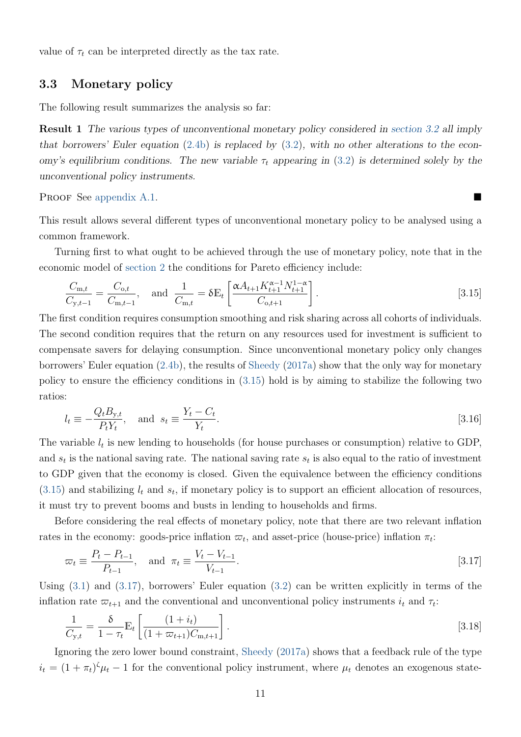<span id="page-12-4"></span>value of  $\tau_t$  can be interpreted directly as the tax rate.

#### 3.3 Monetary policy

<span id="page-12-5"></span>The following result summarizes the analysis so far:

Result 1 The various types of unconventional monetary policy considered in [section 3.2](#page-7-3) all imply that borrowers' Euler equation  $(2.4b)$  is replaced by  $(3.2)$ , with no other alterations to the economy's equilibrium conditions. The new variable  $\tau_t$  appearing in [\(3.2\)](#page-7-2) is determined solely by the unconventional policy instruments.

PROOF See [appendix A.1.](#page-23-8)

This result allows several different types of unconventional monetary policy to be analysed using a common framework.

Turning first to what ought to be achieved through the use of monetary policy, note that in the economic model of [section 2](#page-3-3) the conditions for Pareto efficiency include:

<span id="page-12-0"></span>
$$
\frac{C_{\mathrm{m},t}}{C_{\mathrm{y},t-1}} = \frac{C_{\mathrm{o},t}}{C_{\mathrm{m},t-1}}, \quad \text{and} \quad \frac{1}{C_{\mathrm{m},t}} = \delta \mathbb{E}_t \left[ \frac{\alpha A_{t+1} K_{t+1}^{\alpha-1} N_{t+1}^{1-\alpha}}{C_{\mathrm{o},t+1}} \right]. \tag{3.15}
$$

The first condition requires consumption smoothing and risk sharing across all cohorts of individuals. The second condition requires that the return on any resources used for investment is sufficient to compensate savers for delaying consumption. Since unconventional monetary policy only changes borrowers' Euler equation [\(2.4b\)](#page-4-2), the results of [Sheedy](#page-23-0) [\(2017a\)](#page-23-0) show that the only way for monetary policy to ensure the efficiency conditions in [\(3.15\)](#page-12-0) hold is by aiming to stabilize the following two ratios:

<span id="page-12-3"></span>
$$
l_t \equiv -\frac{Q_t B_{y,t}}{P_t Y_t}, \quad \text{and} \quad s_t \equiv \frac{Y_t - C_t}{Y_t}.
$$
\n
$$
\tag{3.16}
$$

The variable  $l_t$  is new lending to households (for house purchases or consumption) relative to GDP, and  $s_t$  is the national saving rate. The national saving rate  $s_t$  is also equal to the ratio of investment to GDP given that the economy is closed. Given the equivalence between the efficiency conditions  $(3.15)$  and stabilizing  $l_t$  and  $s_t$ , if monetary policy is to support an efficient allocation of resources, it must try to prevent booms and busts in lending to households and firms.

Before considering the real effects of monetary policy, note that there are two relevant inflation rates in the economy: goods-price inflation  $\varpi_t$ , and asset-price (house-price) inflation  $\pi_t$ :

<span id="page-12-1"></span>
$$
\varpi_t \equiv \frac{P_t - P_{t-1}}{P_{t-1}}, \quad \text{and} \quad \pi_t \equiv \frac{V_t - V_{t-1}}{V_{t-1}}.
$$
\n
$$
\tag{3.17}
$$

Using [\(3.1\)](#page-7-4) and [\(3.17\)](#page-12-1), borrowers' Euler equation [\(3.2\)](#page-7-2) can be written explicitly in terms of the inflation rate  $\varpi_{t+1}$  and the conventional and unconventional policy instruments  $i_t$  and  $\tau_t$ :

<span id="page-12-2"></span>
$$
\frac{1}{C_{y,t}} = \frac{\delta}{1 - \tau_t} \mathbb{E}_t \left[ \frac{(1 + i_t)}{(1 + \varpi_{t+1}) C_{m,t+1}} \right].
$$
\n(3.18)

Ignoring the zero lower bound constraint, [Sheedy](#page-23-0) [\(2017a\)](#page-23-0) shows that a feedback rule of the type  $i_t = (1 + \pi_t)^{\zeta} \mu_t - 1$  for the conventional policy instrument, where  $\mu_t$  denotes an exogenous state-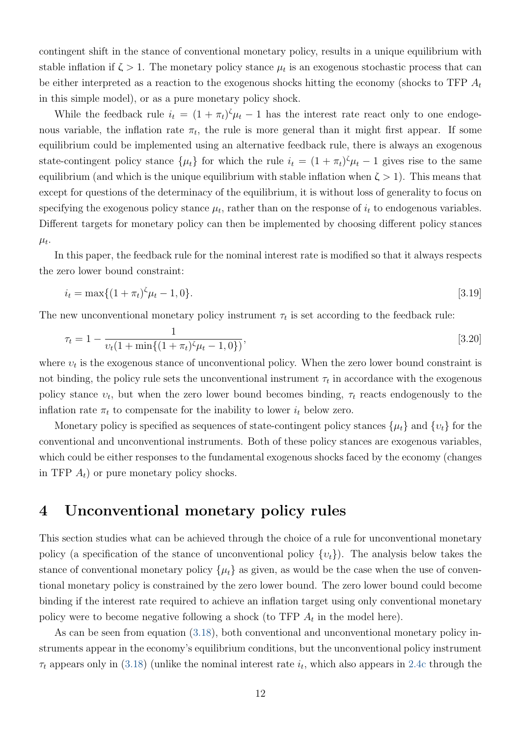contingent shift in the stance of conventional monetary policy, results in a unique equilibrium with stable inflation if  $\zeta > 1$ . The monetary policy stance  $\mu_t$  is an exogenous stochastic process that can be either interpreted as a reaction to the exogenous shocks hitting the economy (shocks to TFP  $A_t$ in this simple model), or as a pure monetary policy shock.

While the feedback rule  $i_t = (1 + \pi_t)^{\zeta} \mu_t - 1$  has the interest rate react only to one endogenous variable, the inflation rate  $\pi_t$ , the rule is more general than it might first appear. If some equilibrium could be implemented using an alternative feedback rule, there is always an exogenous state-contingent policy stance  $\{\mu_t\}$  for which the rule  $i_t = (1 + \pi_t)^{\zeta} \mu_t - 1$  gives rise to the same equilibrium (and which is the unique equilibrium with stable inflation when  $\zeta > 1$ ). This means that except for questions of the determinacy of the equilibrium, it is without loss of generality to focus on specifying the exogenous policy stance  $\mu_t$ , rather than on the response of  $i_t$  to endogenous variables. Different targets for monetary policy can then be implemented by choosing different policy stances  $\mu_t$ .

In this paper, the feedback rule for the nominal interest rate is modified so that it always respects the zero lower bound constraint:

<span id="page-13-1"></span><span id="page-13-0"></span>
$$
i_t = \max\{(1+\pi_t)^{\zeta}\mu_t - 1, 0\}.
$$
\n[3.19]

The new unconventional monetary policy instrument  $\tau_t$  is set according to the feedback rule:

$$
\tau_t = 1 - \frac{1}{\nu_t (1 + \min\{(1 + \pi_t)^{\zeta} \mu_t - 1, 0\})},\tag{3.20}
$$

where  $v_t$  is the exogenous stance of unconventional policy. When the zero lower bound constraint is not binding, the policy rule sets the unconventional instrument  $\tau_t$  in accordance with the exogenous policy stance  $v_t$ , but when the zero lower bound becomes binding,  $\tau_t$  reacts endogenously to the inflation rate  $\pi_t$  to compensate for the inability to lower  $i_t$  below zero.

Monetary policy is specified as sequences of state-contingent policy stances  $\{\mu_t\}$  and  $\{v_t\}$  for the conventional and unconventional instruments. Both of these policy stances are exogenous variables, which could be either responses to the fundamental exogenous shocks faced by the economy (changes in TFP  $A_t$ ) or pure monetary policy shocks.

## <span id="page-13-2"></span>4 Unconventional monetary policy rules

This section studies what can be achieved through the choice of a rule for unconventional monetary policy (a specification of the stance of unconventional policy  $\{v_t\}$ ). The analysis below takes the stance of conventional monetary policy  $\{\mu_t\}$  as given, as would be the case when the use of conventional monetary policy is constrained by the zero lower bound. The zero lower bound could become binding if the interest rate required to achieve an inflation target using only conventional monetary policy were to become negative following a shock (to TFP  $A_t$  in the model here).

As can be seen from equation  $(3.18)$ , both conventional and unconventional monetary policy instruments appear in the economy's equilibrium conditions, but the unconventional policy instrument  $\tau_t$  appears only in [\(3.18\)](#page-12-2) (unlike the nominal interest rate  $i_t$ , which also appears in [2.4c](#page-4-4) through the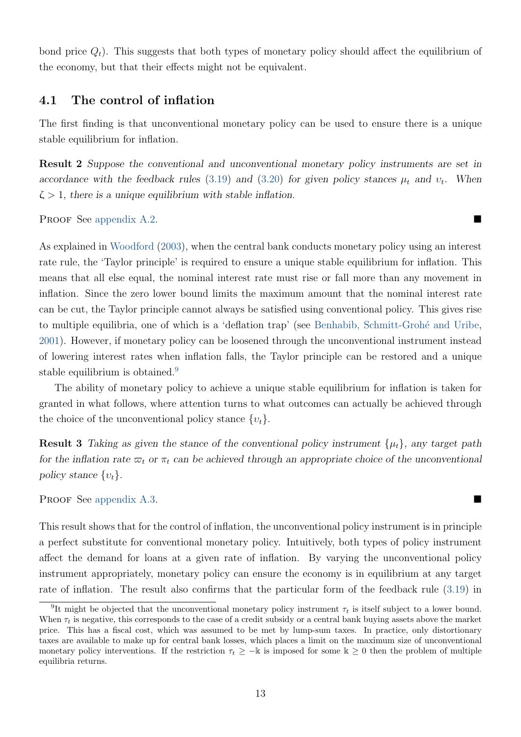<span id="page-14-1"></span>bond price  $Q_t$ ). This suggests that both types of monetary policy should affect the equilibrium of the economy, but that their effects might not be equivalent.

#### 4.1 The control of inflation

The first finding is that unconventional monetary policy can be used to ensure there is a unique stable equilibrium for inflation.

<span id="page-14-2"></span>Result 2 Suppose the conventional and unconventional monetary policy instruments are set in accordance with the feedback rules [\(3.19\)](#page-13-0) and [\(3.20\)](#page-13-1) for given policy stances  $\mu_t$  and  $v_t$ . When  $\zeta > 1$ , there is a unique equilibrium with stable inflation.

PROOF See [appendix A.2.](#page-24-0)

As explained in [Woodford](#page-23-9) [\(2003\)](#page-23-9), when the central bank conducts monetary policy using an interest rate rule, the 'Taylor principle' is required to ensure a unique stable equilibrium for inflation. This means that all else equal, the nominal interest rate must rise or fall more than any movement in inflation. Since the zero lower bound limits the maximum amount that the nominal interest rate can be cut, the Taylor principle cannot always be satisfied using conventional policy. This gives rise to multiple equilibria, one of which is a 'deflation trap' (see [Benhabib, Schmitt-Groh´e and Uribe,](#page-22-5) [2001\)](#page-22-5). However, if monetary policy can be loosened through the unconventional instrument instead of lowering interest rates when inflation falls, the Taylor principle can be restored and a unique stable equilibrium is obtained.<sup>[9](#page-14-0)</sup>

The ability of monetary policy to achieve a unique stable equilibrium for inflation is taken for granted in what follows, where attention turns to what outcomes can actually be achieved through the choice of the unconventional policy stance  $\{v_t\}$ .

<span id="page-14-3"></span>**Result 3** Taking as given the stance of the conventional policy instrument  $\{\mu_t\}$ , any target path for the inflation rate  $\varpi_t$  or  $\pi_t$  can be achieved through an appropriate choice of the unconventional policy stance  $\{v_t\}$ .

#### PROOF See [appendix A.3.](#page-25-0)

This result shows that for the control of inflation, the unconventional policy instrument is in principle a perfect substitute for conventional monetary policy. Intuitively, both types of policy instrument affect the demand for loans at a given rate of inflation. By varying the unconventional policy instrument appropriately, monetary policy can ensure the economy is in equilibrium at any target rate of inflation. The result also confirms that the particular form of the feedback rule [\(3.19\)](#page-13-0) in

<span id="page-14-0"></span><sup>&</sup>lt;sup>9</sup>It might be objected that the unconventional monetary policy instrument  $\tau_t$  is itself subject to a lower bound. When  $\tau_t$  is negative, this corresponds to the case of a credit subsidy or a central bank buying assets above the market price. This has a fiscal cost, which was assumed to be met by lump-sum taxes. In practice, only distortionary taxes are available to make up for central bank losses, which places a limit on the maximum size of unconventional monetary policy interventions. If the restriction  $\tau_t \geq -\mathbb{k}$  is imposed for some  $\mathbb{k} \geq 0$  then the problem of multiple equilibria returns.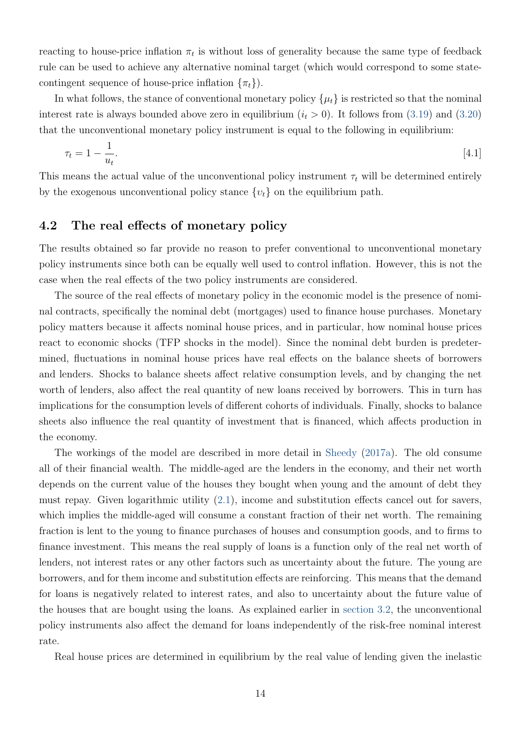<span id="page-15-0"></span>reacting to house-price inflation  $\pi_t$  is without loss of generality because the same type of feedback rule can be used to achieve any alternative nominal target (which would correspond to some statecontingent sequence of house-price inflation  $\{\pi_t\}$ .

In what follows, the stance of conventional monetary policy  $\{\mu_t\}$  is restricted so that the nominal interest rate is always bounded above zero in equilibrium  $(i<sub>t</sub> > 0)$ . It follows from [\(3.19\)](#page-13-0) and [\(3.20\)](#page-13-1) that the unconventional monetary policy instrument is equal to the following in equilibrium:

<span id="page-15-1"></span>
$$
\tau_t = 1 - \frac{1}{u_t}.\tag{4.1}
$$

This means the actual value of the unconventional policy instrument  $\tau_t$  will be determined entirely by the exogenous unconventional policy stance  $\{v_t\}$  on the equilibrium path.

#### 4.2 The real effects of monetary policy

The results obtained so far provide no reason to prefer conventional to unconventional monetary policy instruments since both can be equally well used to control inflation. However, this is not the case when the real effects of the two policy instruments are considered.

The source of the real effects of monetary policy in the economic model is the presence of nominal contracts, specifically the nominal debt (mortgages) used to finance house purchases. Monetary policy matters because it affects nominal house prices, and in particular, how nominal house prices react to economic shocks (TFP shocks in the model). Since the nominal debt burden is predetermined, fluctuations in nominal house prices have real effects on the balance sheets of borrowers and lenders. Shocks to balance sheets affect relative consumption levels, and by changing the net worth of lenders, also affect the real quantity of new loans received by borrowers. This in turn has implications for the consumption levels of different cohorts of individuals. Finally, shocks to balance sheets also influence the real quantity of investment that is financed, which affects production in the economy.

The workings of the model are described in more detail in [Sheedy](#page-23-0) [\(2017a\)](#page-23-0). The old consume all of their financial wealth. The middle-aged are the lenders in the economy, and their net worth depends on the current value of the houses they bought when young and the amount of debt they must repay. Given logarithmic utility [\(2.1\)](#page-3-2), income and substitution effects cancel out for savers, which implies the middle-aged will consume a constant fraction of their net worth. The remaining fraction is lent to the young to finance purchases of houses and consumption goods, and to firms to finance investment. This means the real supply of loans is a function only of the real net worth of lenders, not interest rates or any other factors such as uncertainty about the future. The young are borrowers, and for them income and substitution effects are reinforcing. This means that the demand for loans is negatively related to interest rates, and also to uncertainty about the future value of the houses that are bought using the loans. As explained earlier in [section 3.2,](#page-7-3) the unconventional policy instruments also affect the demand for loans independently of the risk-free nominal interest rate.

Real house prices are determined in equilibrium by the real value of lending given the inelastic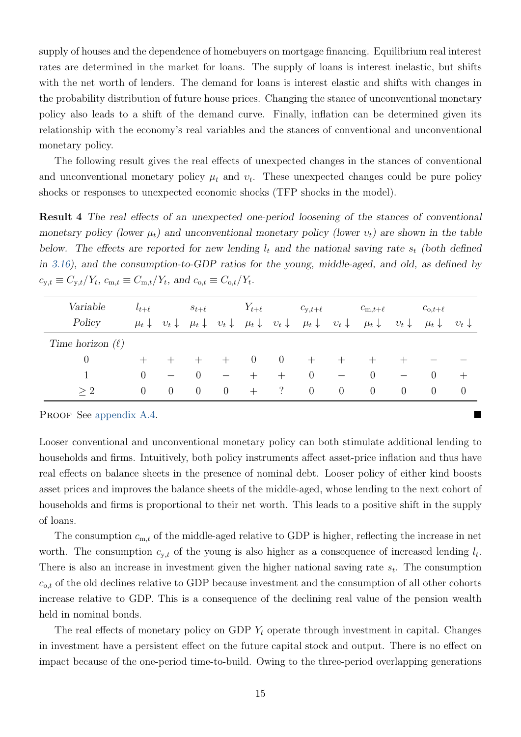supply of houses and the dependence of homebuyers on mortgage financing. Equilibrium real interest rates are determined in the market for loans. The supply of loans is interest inelastic, but shifts with the net worth of lenders. The demand for loans is interest elastic and shifts with changes in the probability distribution of future house prices. Changing the stance of unconventional monetary policy also leads to a shift of the demand curve. Finally, inflation can be determined given its relationship with the economy's real variables and the stances of conventional and unconventional monetary policy.

The following result gives the real effects of unexpected changes in the stances of conventional and unconventional monetary policy  $\mu_t$  and  $v_t$ . These unexpected changes could be pure policy shocks or responses to unexpected economic shocks (TFP shocks in the model).

<span id="page-16-0"></span>Result 4 The real effects of an unexpected one-period loosening of the stances of conventional monetary policy (lower  $\mu_t$ ) and unconventional monetary policy (lower  $v_t$ ) are shown in the table below. The effects are reported for new lending  $l_t$  and the national saving rate  $s_t$  (both defined in [3.16\)](#page-12-3), and the consumption-to-GDP ratios for the young, middle-aged, and old, as defined by  $c_{y,t} \equiv C_{y,t}/Y_t$ ,  $c_{m,t} \equiv C_{m,t}/Y_t$ , and  $c_{o,t} \equiv C_{o,t}/Y_t$ .

| Variable<br>Policy    | $t_{t+\ell}$<br>$\mu_t \downarrow$ | $v_t \downarrow$ | $s_{t+\ell}$<br>$\mu_t \downarrow$ | $v_t \downarrow$ | $Y_{t+\ell}$<br>$\mu_t \downarrow$ | $v_t \downarrow$ | $c_{y,t+\ell}$<br>$\mu_t \downarrow$ | $v_t\downarrow$ | $c_{m,t+\ell}$<br>$\mu_t \downarrow$ | $v_t \downarrow$ | $c_{o,t+\ell}$<br>$\mu_t \downarrow$ | $v_t \downarrow$ |
|-----------------------|------------------------------------|------------------|------------------------------------|------------------|------------------------------------|------------------|--------------------------------------|-----------------|--------------------------------------|------------------|--------------------------------------|------------------|
| Time horizon $(\ell)$ |                                    |                  |                                    |                  |                                    |                  |                                      |                 |                                      |                  |                                      |                  |
| $\theta$              |                                    |                  |                                    |                  | $\theta$                           | $\overline{0}$   | $^+$                                 |                 |                                      |                  |                                      |                  |
|                       | $\theta$                           |                  | 0                                  |                  |                                    | $^{+}$           | $\theta$                             |                 | $\theta$                             |                  | $\cup$                               | $^{+}$           |
| >2                    | $\left( \right)$                   | $\theta$         | $\theta$                           | $\overline{0}$   | $^{+}$                             | $\binom{?}{'}$   | $\theta$                             | $\overline{0}$  | $\theta$                             | $\theta$         | $\overline{0}$                       | $\theta$         |

PROOF See [appendix A.4.](#page-25-1)

Looser conventional and unconventional monetary policy can both stimulate additional lending to households and firms. Intuitively, both policy instruments affect asset-price inflation and thus have real effects on balance sheets in the presence of nominal debt. Looser policy of either kind boosts asset prices and improves the balance sheets of the middle-aged, whose lending to the next cohort of households and firms is proportional to their net worth. This leads to a positive shift in the supply of loans.

The consumption  $c_{m,t}$  of the middle-aged relative to GDP is higher, reflecting the increase in net worth. The consumption  $c_{y,t}$  of the young is also higher as a consequence of increased lending  $l_t$ . There is also an increase in investment given the higher national saving rate  $s_t$ . The consumption  $c_{o,t}$  of the old declines relative to GDP because investment and the consumption of all other cohorts increase relative to GDP. This is a consequence of the declining real value of the pension wealth held in nominal bonds.

The real effects of monetary policy on GDP  $Y_t$  operate through investment in capital. Changes in investment have a persistent effect on the future capital stock and output. There is no effect on impact because of the one-period time-to-build. Owing to the three-period overlapping generations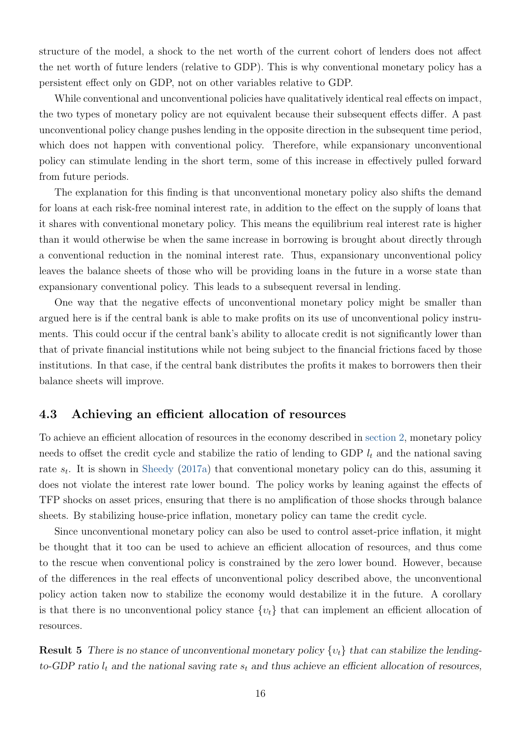<span id="page-17-0"></span>structure of the model, a shock to the net worth of the current cohort of lenders does not affect the net worth of future lenders (relative to GDP). This is why conventional monetary policy has a persistent effect only on GDP, not on other variables relative to GDP.

While conventional and unconventional policies have qualitatively identical real effects on impact, the two types of monetary policy are not equivalent because their subsequent effects differ. A past unconventional policy change pushes lending in the opposite direction in the subsequent time period, which does not happen with conventional policy. Therefore, while expansionary unconventional policy can stimulate lending in the short term, some of this increase in effectively pulled forward from future periods.

The explanation for this finding is that unconventional monetary policy also shifts the demand for loans at each risk-free nominal interest rate, in addition to the effect on the supply of loans that it shares with conventional monetary policy. This means the equilibrium real interest rate is higher than it would otherwise be when the same increase in borrowing is brought about directly through a conventional reduction in the nominal interest rate. Thus, expansionary unconventional policy leaves the balance sheets of those who will be providing loans in the future in a worse state than expansionary conventional policy. This leads to a subsequent reversal in lending.

One way that the negative effects of unconventional monetary policy might be smaller than argued here is if the central bank is able to make profits on its use of unconventional policy instruments. This could occur if the central bank's ability to allocate credit is not significantly lower than that of private financial institutions while not being subject to the financial frictions faced by those institutions. In that case, if the central bank distributes the profits it makes to borrowers then their balance sheets will improve.

#### 4.3 Achieving an efficient allocation of resources

To achieve an efficient allocation of resources in the economy described in [section 2,](#page-3-3) monetary policy needs to offset the credit cycle and stabilize the ratio of lending to GDP  $l_t$  and the national saving rate  $s_t$ . It is shown in [Sheedy](#page-23-0) [\(2017a\)](#page-23-0) that conventional monetary policy can do this, assuming it does not violate the interest rate lower bound. The policy works by leaning against the effects of TFP shocks on asset prices, ensuring that there is no amplification of those shocks through balance sheets. By stabilizing house-price inflation, monetary policy can tame the credit cycle.

Since unconventional monetary policy can also be used to control asset-price inflation, it might be thought that it too can be used to achieve an efficient allocation of resources, and thus come to the rescue when conventional policy is constrained by the zero lower bound. However, because of the differences in the real effects of unconventional policy described above, the unconventional policy action taken now to stabilize the economy would destabilize it in the future. A corollary is that there is no unconventional policy stance  $\{v_t\}$  that can implement an efficient allocation of resources.

<span id="page-17-1"></span>**Result 5** There is no stance of unconventional monetary policy  $\{v_t\}$  that can stabilize the lendingto-GDP ratio  $l_t$  and the national saving rate  $s_t$  and thus achieve an efficient allocation of resources,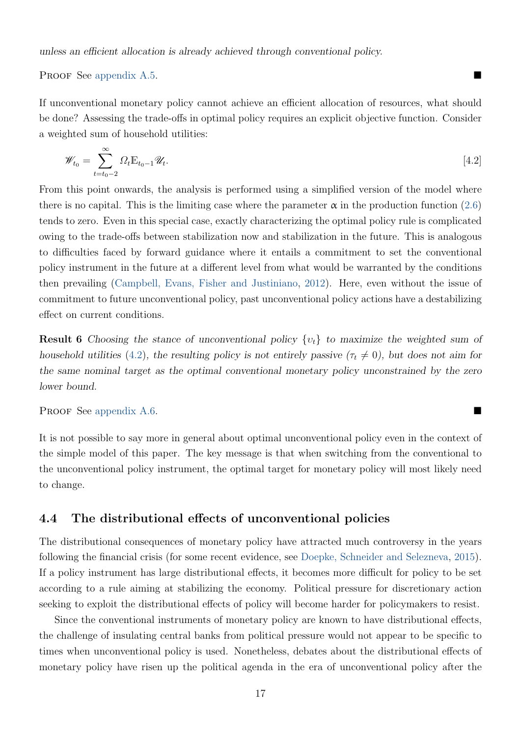#### <span id="page-18-1"></span>PROOF See [appendix A.5.](#page-26-0)

If unconventional monetary policy cannot achieve an efficient allocation of resources, what should be done? Assessing the trade-offs in optimal policy requires an explicit objective function. Consider a weighted sum of household utilities:

<span id="page-18-0"></span>
$$
\mathscr{W}_{t_0} = \sum_{t=t_0-2}^{\infty} \Omega_t \mathbb{E}_{t_0-1} \mathscr{U}_t.
$$
\n
$$
\tag{4.2}
$$

From this point onwards, the analysis is performed using a simplified version of the model where there is no capital. This is the limiting case where the parameter  $\alpha$  in the production function [\(2.6\)](#page-5-0) tends to zero. Even in this special case, exactly characterizing the optimal policy rule is complicated owing to the trade-offs between stabilization now and stabilization in the future. This is analogous to difficulties faced by forward guidance where it entails a commitment to set the conventional policy instrument in the future at a different level from what would be warranted by the conditions then prevailing [\(Campbell, Evans, Fisher and Justiniano,](#page-22-1) [2012\)](#page-22-1). Here, even without the issue of commitment to future unconventional policy, past unconventional policy actions have a destabilizing effect on current conditions.

<span id="page-18-2"></span>**Result 6** Choosing the stance of unconventional policy  $\{v_t\}$  to maximize the weighted sum of household utilities [\(4.2\)](#page-18-0), the resulting policy is not entirely passive ( $\tau_t \neq 0$ ), but does not aim for the same nominal target as the optimal conventional monetary policy unconstrained by the zero lower bound.

PROOF See [appendix A.6.](#page-26-1)

It is not possible to say more in general about optimal unconventional policy even in the context of the simple model of this paper. The key message is that when switching from the conventional to the unconventional policy instrument, the optimal target for monetary policy will most likely need to change.

#### 4.4 The distributional effects of unconventional policies

The distributional consequences of monetary policy have attracted much controversy in the years following the financial crisis (for some recent evidence, see [Doepke, Schneider and Selezneva,](#page-22-6) [2015\)](#page-22-6). If a policy instrument has large distributional effects, it becomes more difficult for policy to be set according to a rule aiming at stabilizing the economy. Political pressure for discretionary action seeking to exploit the distributional effects of policy will become harder for policymakers to resist.

Since the conventional instruments of monetary policy are known to have distributional effects, the challenge of insulating central banks from political pressure would not appear to be specific to times when unconventional policy is used. Nonetheless, debates about the distributional effects of monetary policy have risen up the political agenda in the era of unconventional policy after the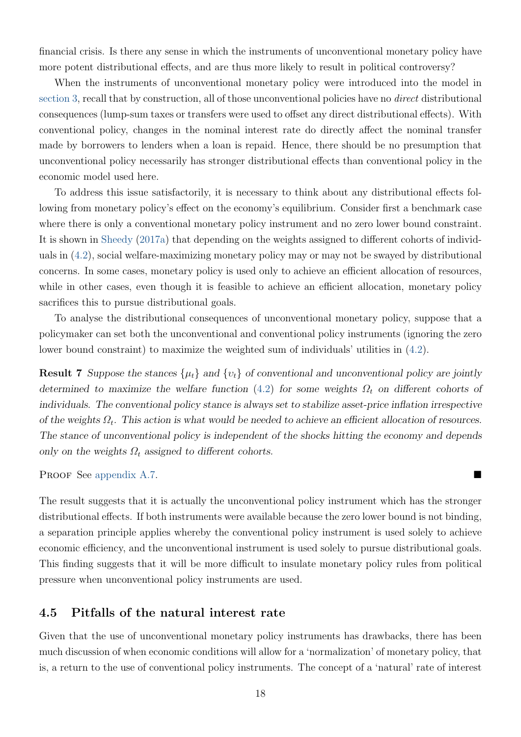<span id="page-19-0"></span>financial crisis. Is there any sense in which the instruments of unconventional monetary policy have more potent distributional effects, and are thus more likely to result in political controversy?

When the instruments of unconventional monetary policy were introduced into the model in [section 3,](#page-6-2) recall that by construction, all of those unconventional policies have no direct distributional consequences (lump-sum taxes or transfers were used to offset any direct distributional effects). With conventional policy, changes in the nominal interest rate do directly affect the nominal transfer made by borrowers to lenders when a loan is repaid. Hence, there should be no presumption that unconventional policy necessarily has stronger distributional effects than conventional policy in the economic model used here.

To address this issue satisfactorily, it is necessary to think about any distributional effects following from monetary policy's effect on the economy's equilibrium. Consider first a benchmark case where there is only a conventional monetary policy instrument and no zero lower bound constraint. It is shown in [Sheedy](#page-23-0) [\(2017a\)](#page-23-0) that depending on the weights assigned to different cohorts of individuals in [\(4.2\)](#page-18-0), social welfare-maximizing monetary policy may or may not be swayed by distributional concerns. In some cases, monetary policy is used only to achieve an efficient allocation of resources, while in other cases, even though it is feasible to achieve an efficient allocation, monetary policy sacrifices this to pursue distributional goals.

To analyse the distributional consequences of unconventional monetary policy, suppose that a policymaker can set both the unconventional and conventional policy instruments (ignoring the zero lower bound constraint) to maximize the weighted sum of individuals' utilities in [\(4.2\)](#page-18-0).

<span id="page-19-1"></span>**Result 7** Suppose the stances  $\{\mu_t\}$  and  $\{v_t\}$  of conventional and unconventional policy are jointly determined to maximize the welfare function [\(4.2\)](#page-18-0) for some weights  $\Omega_t$  on different cohorts of individuals. The conventional policy stance is always set to stabilize asset-price inflation irrespective of the weights  $\Omega_t$ . This action is what would be needed to achieve an efficient allocation of resources. The stance of unconventional policy is independent of the shocks hitting the economy and depends only on the weights  $\Omega_t$  assigned to different cohorts.

PROOF See [appendix A.7.](#page-28-0)

The result suggests that it is actually the unconventional policy instrument which has the stronger distributional effects. If both instruments were available because the zero lower bound is not binding, a separation principle applies whereby the conventional policy instrument is used solely to achieve economic efficiency, and the unconventional instrument is used solely to pursue distributional goals. This finding suggests that it will be more difficult to insulate monetary policy rules from political pressure when unconventional policy instruments are used.

#### 4.5 Pitfalls of the natural interest rate

Given that the use of unconventional monetary policy instruments has drawbacks, there has been much discussion of when economic conditions will allow for a 'normalization' of monetary policy, that is, a return to the use of conventional policy instruments. The concept of a 'natural' rate of interest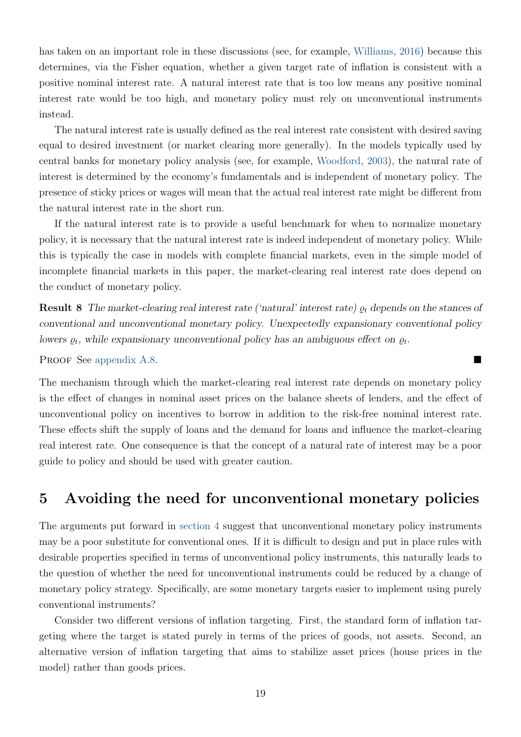<span id="page-20-0"></span>has taken on an important role in these discussions (see, for example, [Williams,](#page-23-10) [2016\)](#page-23-10) because this determines, via the Fisher equation, whether a given target rate of inflation is consistent with a positive nominal interest rate. A natural interest rate that is too low means any positive nominal interest rate would be too high, and monetary policy must rely on unconventional instruments instead.

The natural interest rate is usually defined as the real interest rate consistent with desired saving equal to desired investment (or market clearing more generally). In the models typically used by central banks for monetary policy analysis (see, for example, [Woodford,](#page-23-9) [2003\)](#page-23-9), the natural rate of interest is determined by the economy's fundamentals and is independent of monetary policy. The presence of sticky prices or wages will mean that the actual real interest rate might be different from the natural interest rate in the short run.

If the natural interest rate is to provide a useful benchmark for when to normalize monetary policy, it is necessary that the natural interest rate is indeed independent of monetary policy. While this is typically the case in models with complete financial markets, even in the simple model of incomplete financial markets in this paper, the market-clearing real interest rate does depend on the conduct of monetary policy.

<span id="page-20-1"></span>**Result 8** The market-clearing real interest rate ('natural' interest rate)  $\rho_t$  depends on the stances of conventional and unconventional monetary policy. Unexpectedly expansionary conventional policy lowers  $\varrho_t$ , while expansionary unconventional policy has an ambiguous effect on  $\varrho_t$ .

Proof See [appendix A.8.](#page-29-0)

The mechanism through which the market-clearing real interest rate depends on monetary policy is the effect of changes in nominal asset prices on the balance sheets of lenders, and the effect of unconventional policy on incentives to borrow in addition to the risk-free nominal interest rate. These effects shift the supply of loans and the demand for loans and influence the market-clearing real interest rate. One consequence is that the concept of a natural rate of interest may be a poor guide to policy and should be used with greater caution.

### 5 Avoiding the need for unconventional monetary policies

The arguments put forward in [section 4](#page-13-2) suggest that unconventional monetary policy instruments may be a poor substitute for conventional ones. If it is difficult to design and put in place rules with desirable properties specified in terms of unconventional policy instruments, this naturally leads to the question of whether the need for unconventional instruments could be reduced by a change of monetary policy strategy. Specifically, are some monetary targets easier to implement using purely conventional instruments?

Consider two different versions of inflation targeting. First, the standard form of inflation targeting where the target is stated purely in terms of the prices of goods, not assets. Second, an alternative version of inflation targeting that aims to stabilize asset prices (house prices in the model) rather than goods prices.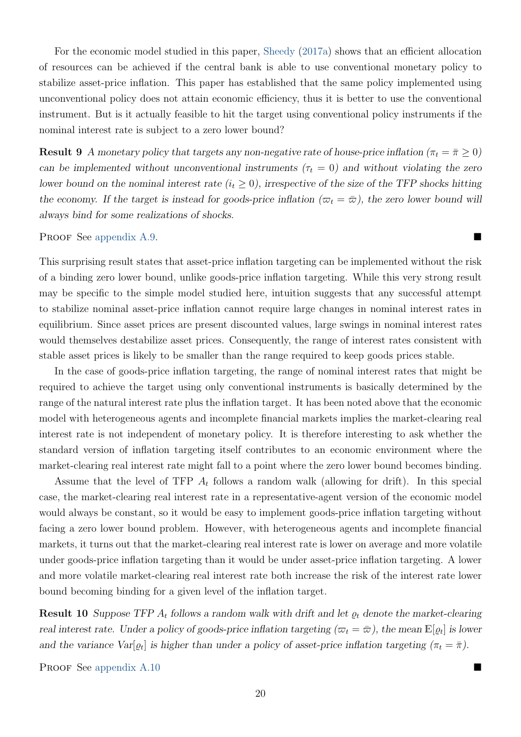<span id="page-21-0"></span>For the economic model studied in this paper, [Sheedy](#page-23-0) [\(2017a\)](#page-23-0) shows that an efficient allocation of resources can be achieved if the central bank is able to use conventional monetary policy to stabilize asset-price inflation. This paper has established that the same policy implemented using unconventional policy does not attain economic efficiency, thus it is better to use the conventional instrument. But is it actually feasible to hit the target using conventional policy instruments if the nominal interest rate is subject to a zero lower bound?

<span id="page-21-1"></span>**Result 9** A monetary policy that targets any non-negative rate of house-price inflation ( $\pi_t = \bar{\pi} \geq 0$ ) can be implemented without unconventional instruments ( $\tau_t = 0$ ) and without violating the zero lower bound on the nominal interest rate  $(i_t \geq 0)$ , irrespective of the size of the TFP shocks hitting the economy. If the target is instead for goods-price inflation  $(\varpi_t = \bar{\varpi})$ , the zero lower bound will always bind for some realizations of shocks.

Proof See [appendix A.9.](#page-30-0)

This surprising result states that asset-price inflation targeting can be implemented without the risk of a binding zero lower bound, unlike goods-price inflation targeting. While this very strong result may be specific to the simple model studied here, intuition suggests that any successful attempt to stabilize nominal asset-price inflation cannot require large changes in nominal interest rates in equilibrium. Since asset prices are present discounted values, large swings in nominal interest rates would themselves destabilize asset prices. Consequently, the range of interest rates consistent with stable asset prices is likely to be smaller than the range required to keep goods prices stable.

In the case of goods-price inflation targeting, the range of nominal interest rates that might be required to achieve the target using only conventional instruments is basically determined by the range of the natural interest rate plus the inflation target. It has been noted above that the economic model with heterogeneous agents and incomplete financial markets implies the market-clearing real interest rate is not independent of monetary policy. It is therefore interesting to ask whether the standard version of inflation targeting itself contributes to an economic environment where the market-clearing real interest rate might fall to a point where the zero lower bound becomes binding.

Assume that the level of TFP  $A_t$  follows a random walk (allowing for drift). In this special case, the market-clearing real interest rate in a representative-agent version of the economic model would always be constant, so it would be easy to implement goods-price inflation targeting without facing a zero lower bound problem. However, with heterogeneous agents and incomplete financial markets, it turns out that the market-clearing real interest rate is lower on average and more volatile under goods-price inflation targeting than it would be under asset-price inflation targeting. A lower and more volatile market-clearing real interest rate both increase the risk of the interest rate lower bound becoming binding for a given level of the inflation target.

<span id="page-21-2"></span>**Result 10** Suppose TFP  $A_t$  follows a random walk with drift and let  $\varrho_t$  denote the market-clearing real interest rate. Under a policy of goods-price inflation targeting  $(\varpi_t = \bar{\varpi})$ , the mean  $\mathbb{E}[\varrho_t]$  is lower and the variance  $Var[\varrho_t]$  is higher than under a policy of asset-price inflation targeting  $(\pi_t = \overline{\pi})$ .

PROOF See [appendix A.10](#page-31-0)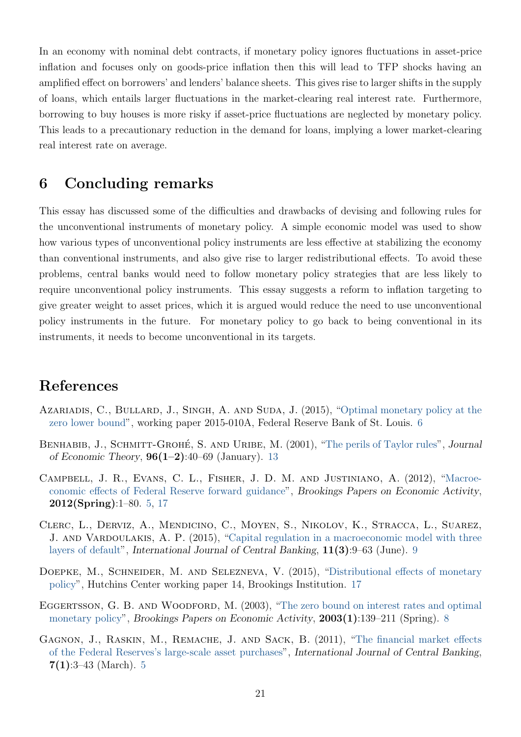In an economy with nominal debt contracts, if monetary policy ignores fluctuations in asset-price inflation and focuses only on goods-price inflation then this will lead to TFP shocks having an amplified effect on borrowers' and lenders' balance sheets. This gives rise to larger shifts in the supply of loans, which entails larger fluctuations in the market-clearing real interest rate. Furthermore, borrowing to buy houses is more risky if asset-price fluctuations are neglected by monetary policy. This leads to a precautionary reduction in the demand for loans, implying a lower market-clearing real interest rate on average.

## 6 Concluding remarks

This essay has discussed some of the difficulties and drawbacks of devising and following rules for the unconventional instruments of monetary policy. A simple economic model was used to show how various types of unconventional policy instruments are less effective at stabilizing the economy than conventional instruments, and also give rise to larger redistributional effects. To avoid these problems, central banks would need to follow monetary policy strategies that are less likely to require unconventional policy instruments. This essay suggests a reform to inflation targeting to give greater weight to asset prices, which it is argued would reduce the need to use unconventional policy instruments in the future. For monetary policy to go back to being conventional in its instruments, it needs to become unconventional in its targets.

## References

- <span id="page-22-2"></span>AZARIADIS, C., BULLARD, J., SINGH, A. AND SUDA, J. (2015), ["Optimal monetary policy at the](https://research.stlouisfed.org/wp/2015/2015-010.pdf) [zero lower bound"](https://research.stlouisfed.org/wp/2015/2015-010.pdf), working paper 2015-010A, Federal Reserve Bank of St. Louis. [6](#page-7-5)
- <span id="page-22-5"></span>BENHABIB, J., SCHMITT-GROHÉ, S. AND URIBE, M. (2001), ["The perils of Taylor rules"](http://dx.doi.org/10.1006/jeth.1999.2585), Journal of Economic Theory,  $96(1-2):40-69$  (January). [13](#page-14-1)
- <span id="page-22-1"></span>Campbell, J. R., Evans, C. L., Fisher, J. D. M. and Justiniano, A. (2012), ["Macroe](http://www.jstor.org/stable/23287215)[conomic effects of Federal Reserve forward guidance"](http://www.jstor.org/stable/23287215), Brookings Papers on Economic Activity, 2012(Spring):1–80. [5,](#page-6-3) [17](#page-18-1)
- <span id="page-22-4"></span>Clerc, L., Derviz, A., Mendicino, C., Moyen, S., Nikolov, K., Stracca, L., Suarez, J. AND VARDOULAKIS, A. P. (2015), ["Capital regulation in a macroeconomic model with three](http://www.ijcb.org/journal/ijcb15q3a1.pdf) [layers of default"](http://www.ijcb.org/journal/ijcb15q3a1.pdf), International Journal of Central Banking, 11(3):9–63 (June). [9](#page-10-4)
- <span id="page-22-6"></span>DOEPKE, M., SCHNEIDER, M. AND SELEZNEVA, V. (2015), ["Distributional effects of monetary](https://www.brookings.edu/wp-content/uploads/2016/06/Doepke-et-al_Inequality_FINAL.pdf) [policy"](https://www.brookings.edu/wp-content/uploads/2016/06/Doepke-et-al_Inequality_FINAL.pdf), Hutchins Center working paper 14, Brookings Institution. [17](#page-18-1)
- <span id="page-22-3"></span>EGGERTSSON, G. B. AND WOODFORD, M. (2003), ["The zero bound on interest rates and optimal](http://www.jstor.org/stable/1209148) [monetary policy"](http://www.jstor.org/stable/1209148), Brookings Papers on Economic Activity, 2003(1):139–211 (Spring). [8](#page-9-2)
- <span id="page-22-0"></span>GAGNON, J., RASKIN, M., REMACHE, J. AND SACK, B. (2011), ["The financial market effects](http://www.ijcb.org/journal/ijcb11q1a1.htm) [of the Federal Reserves's large-scale asset purchases"](http://www.ijcb.org/journal/ijcb11q1a1.htm), International Journal of Central Banking,  $7(1):3-43$  (March). [5](#page-6-3)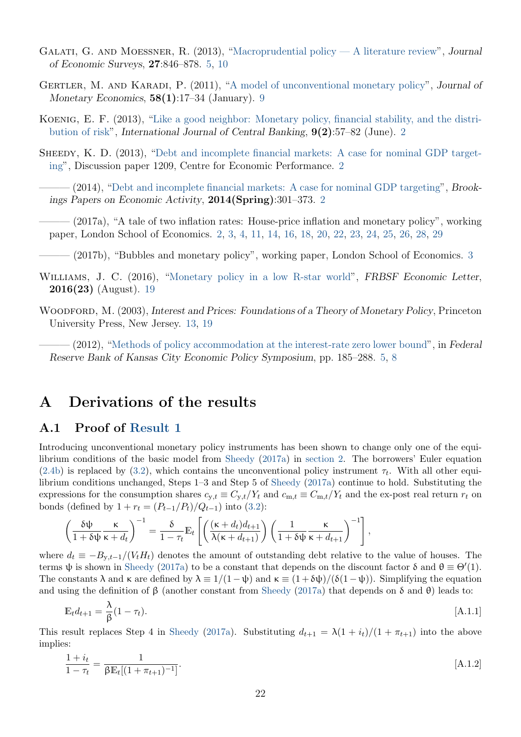- <span id="page-23-11"></span><span id="page-23-6"></span>GALATI, G. AND MOESSNER, R.  $(2013)$ , ["Macroprudential policy — A literature review"](http://dx.doi.org/10.1111/j.1467-6419.2012.00729.x), Journal of Economic Surveys, 27:846–878. [5,](#page-6-3) [10](#page-11-1)
- <span id="page-23-7"></span>GERTLER, M. AND KARADI, P. (2011), ["A model of unconventional monetary policy"](http://dx.doi.org/10.1016/j.jmoneco.2010.10.004), Journal of Monetary Economics,  $58(1):17-34$  (January). [9](#page-10-4)
- <span id="page-23-2"></span>Koenig, E. F. (2013), ["Like a good neighbor: Monetary policy, financial stability, and the distri](http://www.ijcb.org/journal/ijcb13q2a3.pdf)[bution of risk"](http://www.ijcb.org/journal/ijcb13q2a3.pdf), International Journal of Central Banking, 9(2):57–82 (June). [2](#page-3-4)
- <span id="page-23-1"></span>SHEEDY, K. D. (2013), ["Debt and incomplete financial markets: A case for nominal GDP target](http://cep.lse.ac.uk/pubs/download/dp1209.pdf)[ing"](http://cep.lse.ac.uk/pubs/download/dp1209.pdf), Discussion paper 1209, Centre for Economic Performance. [2](#page-3-4)
- <span id="page-23-3"></span> $-(2014)$ , ["Debt and incomplete financial markets: A case for nominal GDP targeting"](http://dx.doi.org/10.1353/eca.2014.0005), Brookings Papers on Economic Activity, 2014(Spring):301–373. [2](#page-3-4)
- <span id="page-23-0"></span>- (2017a), "A tale of two inflation rates: House-price inflation and monetary policy", working paper, London School of Economics. [2,](#page-3-4) [3,](#page-4-5) [4,](#page-5-1) [11,](#page-12-4) [14,](#page-15-0) [16,](#page-17-0) [18,](#page-19-0) [20,](#page-21-0) [22,](#page-23-11) [23,](#page-24-1) [24,](#page-25-2) [25,](#page-26-2) [26,](#page-27-0) [28,](#page-29-1) [29](#page-30-1)
- <span id="page-23-4"></span>- (2017b), "Bubbles and monetary policy", working paper, London School of Economics. [3](#page-4-5)
- <span id="page-23-10"></span>WILLIAMS, J. C. (2016), ["Monetary policy in a low R-star world"](http://www.frbsf.org/economic-research/files/el2016-23.pdf), FRBSF Economic Letter, 2016(23) (August). [19](#page-20-0)
- <span id="page-23-9"></span><span id="page-23-5"></span>WOODFORD, M. (2003), Interest and Prices: Foundations of a Theory of Monetary Policy, Princeton University Press, New Jersey. [13,](#page-14-1) [19](#page-20-0)
	- $-(2012)$ , ["Methods of policy accommodation at the interest-rate zero lower bound"](http://www.kansascityfed.org/publicat/sympos/2012/Woodford_final.pdf), in Federal Reserve Bank of Kansas City Economic Policy Symposium, pp. 185–288. [5,](#page-6-3) [8](#page-9-2)

### A Derivations of the results

#### <span id="page-23-8"></span>A.1 Proof of [Result 1](#page-12-5)

Introducing unconventional monetary policy instruments has been shown to change only one of the equilibrium conditions of the basic model from [Sheedy](#page-23-0) [\(2017a\)](#page-23-0) in [section 2.](#page-3-3) The borrowers' Euler equation [\(2.4b\)](#page-4-2) is replaced by [\(3.2\)](#page-7-2), which contains the unconventional policy instrument  $\tau_t$ . With all other equilibrium conditions unchanged, Steps 1–3 and Step 5 of [Sheedy](#page-23-0) [\(2017a\)](#page-23-0) continue to hold. Substituting the expressions for the consumption shares  $c_{v,t} \equiv C_{v,t}/Y_t$  and  $c_{m,t} \equiv C_{m,t}/Y_t$  and the ex-post real return  $r_t$  on bonds (defined by  $1 + r_t = (P_{t-1}/P_t)/Q_{t-1}$ ) into [\(3.2\)](#page-7-2):

$$
\left(\frac{\delta\psi}{1+\delta\psi}\frac{\kappa}{\kappa+d_t}\right)^{-1} = \frac{\delta}{1-\tau_t}\mathbb{E}_t\left[\left(\frac{(\kappa+d_t)d_{t+1}}{\lambda(\kappa+d_{t+1})}\right)\left(\frac{1}{1+\delta\psi}\frac{\kappa}{\kappa+d_{t+1}}\right)^{-1}\right],
$$

where  $d_t \equiv -B_{y,t-1}/(V_t H_t)$  denotes the amount of outstanding debt relative to the value of houses. The terms  $\psi$  is shown in [Sheedy](#page-23-0) [\(2017a\)](#page-23-0) to be a constant that depends on the discount factor  $\delta$  and  $\theta \equiv \Theta'(1)$ . The constants  $\lambda$  and  $\kappa$  are defined by  $\lambda \equiv 1/(1-\psi)$  and  $\kappa \equiv (1+\delta\psi)/(\delta(1-\psi))$ . Simplifying the equation and using the definition of  $\beta$  (another constant from [Sheedy](#page-23-0) [\(2017a\)](#page-23-0) that depends on  $\delta$  and  $\theta$ ) leads to:

<span id="page-23-12"></span>
$$
\mathbb{E}_t d_{t+1} = \frac{\lambda}{\beta} (1 - \tau_t). \tag{A.1.1}
$$

This result replaces Step 4 in [Sheedy](#page-23-0) [\(2017a\)](#page-23-0). Substituting  $d_{t+1} = \lambda(1 + i_t)/(1 + \pi_{t+1})$  into the above implies:

<span id="page-23-13"></span>
$$
\frac{1+i_t}{1-\tau_t} = \frac{1}{\beta \mathbb{E}_t[(1+\pi_{t+1})^{-1}]}.
$$
\n(A.1.2)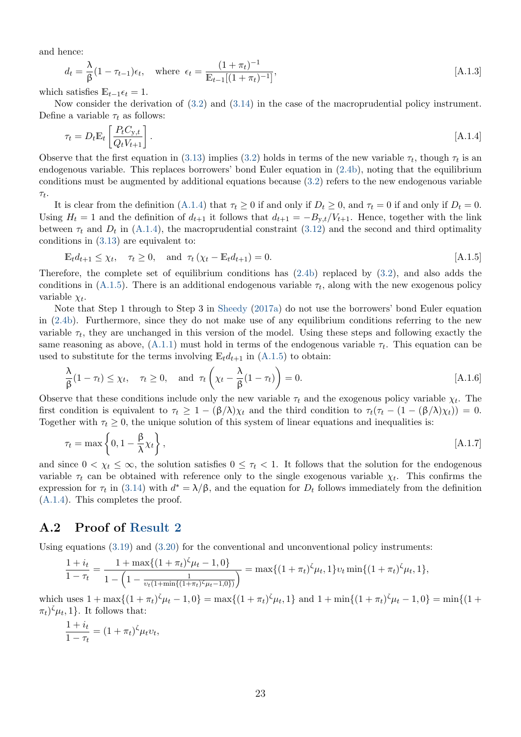<span id="page-24-1"></span>and hence:

<span id="page-24-4"></span>
$$
d_t = \frac{\lambda}{\beta} (1 - \tau_{t-1}) \epsilon_t, \quad \text{where } \epsilon_t = \frac{(1 + \pi_t)^{-1}}{\mathbb{E}_{t-1} [(1 + \pi_t)^{-1}]}, \tag{A.1.3}
$$

which satisfies  $\mathbb{E}_{t-1} \epsilon_t = 1$ .

Now consider the derivation of [\(3.2\)](#page-7-2) and [\(3.14\)](#page-11-2) in the case of the macroprudential policy instrument. Define a variable  $\tau_t$  as follows:

<span id="page-24-2"></span>
$$
\tau_t = D_t \mathbb{E}_t \left[ \frac{P_t C_{y,t}}{Q_t V_{t+1}} \right]. \tag{A.1.4}
$$

Observe that the first equation in [\(3.13\)](#page-11-3) implies [\(3.2\)](#page-7-2) holds in terms of the new variable  $\tau_t$ , though  $\tau_t$  is an endogenous variable. This replaces borrowers' bond Euler equation in [\(2.4b\)](#page-4-2), noting that the equilibrium conditions must be augmented by additional equations because [\(3.2\)](#page-7-2) refers to the new endogenous variable  $\tau_t$ .

It is clear from the definition [\(A.1.4\)](#page-24-2) that  $\tau_t \geq 0$  if and only if  $D_t \geq 0$ , and  $\tau_t = 0$  if and only if  $D_t = 0$ . Using  $H_t = 1$  and the definition of  $d_{t+1}$  it follows that  $d_{t+1} = -B_{y,t}/V_{t+1}$ . Hence, together with the link between  $\tau_t$  and  $D_t$  in [\(A.1.4\)](#page-24-2), the macroprudential constraint [\(3.12\)](#page-11-0) and the second and third optimality conditions in [\(3.13\)](#page-11-3) are equivalent to:

<span id="page-24-3"></span>
$$
\mathbb{E}_{t}d_{t+1} \leq \chi_{t}, \quad \tau_{t} \geq 0, \quad \text{and} \quad \tau_{t}(\chi_{t} - \mathbb{E}_{t}d_{t+1}) = 0. \tag{A.1.5}
$$

Therefore, the complete set of equilibrium conditions has [\(2.4b\)](#page-4-2) replaced by [\(3.2\)](#page-7-2), and also adds the conditions in [\(A.1.5\)](#page-24-3). There is an additional endogenous variable  $\tau_t$ , along with the new exogenous policy variable  $\chi_t$ .

Note that Step 1 through to Step 3 in [Sheedy](#page-23-0) [\(2017a\)](#page-23-0) do not use the borrowers' bond Euler equation in [\(2.4b\)](#page-4-2). Furthermore, since they do not make use of any equilibrium conditions referring to the new variable  $\tau_t$ , they are unchanged in this version of the model. Using these steps and following exactly the same reasoning as above,  $(A.1.1)$  must hold in terms of the endogenous variable  $\tau_t$ . This equation can be used to substitute for the terms involving  $\mathbb{E}_t d_{t+1}$  in  $(A.1.5)$  to obtain:

$$
\frac{\lambda}{\beta}(1-\tau_t) \le \chi_t, \quad \tau_t \ge 0, \quad \text{and} \quad \tau_t\left(\chi_t - \frac{\lambda}{\beta}(1-\tau_t)\right) = 0.
$$
 [A.1.6]

Observe that these conditions include only the new variable  $\tau_t$  and the exogenous policy variable  $\chi_t$ . The first condition is equivalent to  $\tau_t \geq 1 - (\beta/\lambda)\chi_t$  and the third condition to  $\tau_t(\tau_t - (1 - (\beta/\lambda)\chi_t)) = 0$ . Together with  $\tau_t \geq 0$ , the unique solution of this system of linear equations and inequalities is:

$$
\tau_t = \max\left\{0, 1 - \frac{\beta}{\lambda} \chi_t\right\},\tag{A.1.7}
$$

and since  $0 < \chi_t \leq \infty$ , the solution satisfies  $0 \leq \tau_t < 1$ . It follows that the solution for the endogenous variable  $\tau_t$  can be obtained with reference only to the single exogenous variable  $\chi_t$ . This confirms the expression for  $\tau_t$  in [\(3.14\)](#page-11-2) with  $d^* = \lambda/\beta$ , and the equation for  $D_t$  follows immediately from the definition [\(A.1.4\)](#page-24-2). This completes the proof.

#### <span id="page-24-0"></span>A.2 Proof of [Result 2](#page-14-2)

Using equations  $(3.19)$  and  $(3.20)$  for the conventional and unconventional policy instruments:

$$
\frac{1+i_t}{1-\tau_t} = \frac{1+\max\{(1+\pi_t)^{\zeta}\mu_t - 1,0\}}{1-\left(1-\frac{1}{v_t(1+\min\{(1+\pi_t)^{\zeta}\mu_t - 1,0\})}\right)} = \max\{(1+\pi_t)^{\zeta}\mu_t,1\}v_t\min\{(1+\pi_t)^{\zeta}\mu_t,1\},\
$$

which uses  $1 + \max\{(1 + \pi_t)^{\zeta}\mu_t - 1, 0\} = \max\{(1 + \pi_t)^{\zeta}\mu_t, 1\}$  and  $1 + \min\{(1 + \pi_t)^{\zeta}\mu_t - 1, 0\} = \min\{(1 + \pi_t)^{\zeta}\mu_t, 1\}$  $(\pi_t)^{\zeta} \mu_t, 1$ . It follows that:

$$
\frac{1+i_t}{1-\tau_t} = (1+\pi_t)^{\zeta} \mu_t v_t,
$$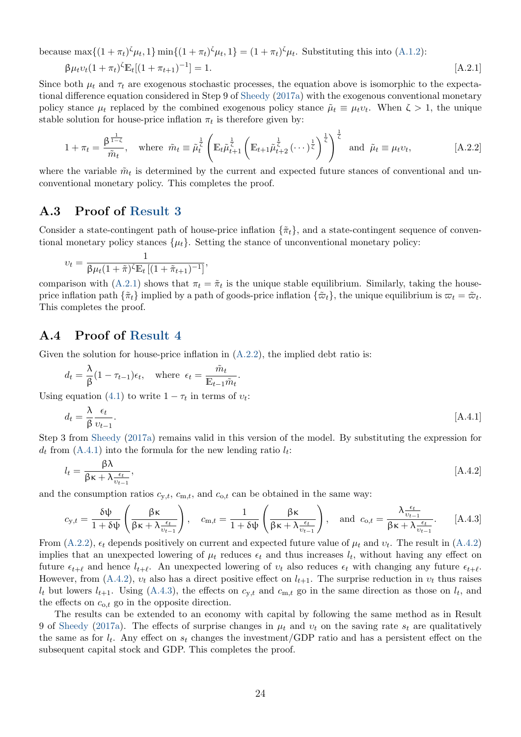<span id="page-25-2"></span>because  $\max\{(1+\pi_t)^{\zeta}\mu_t, 1\} \min\{(1+\pi_t)^{\zeta}\mu_t, 1\} = (1+\pi_t)^{\zeta}\mu_t$ . Substituting this into [\(A.1.2\)](#page-23-13):

<span id="page-25-3"></span>
$$
\beta \mu_t v_t (1 + \pi_t)^{\zeta} \mathbb{E}_t [(1 + \pi_{t+1})^{-1}] = 1. \tag{A.2.1}
$$

Since both  $\mu_t$  and  $\tau_t$  are exogenous stochastic processes, the equation above is isomorphic to the expectational difference equation considered in Step 9 of [Sheedy](#page-23-0) [\(2017a\)](#page-23-0) with the exogenous conventional monetary policy stance  $\mu_t$  replaced by the combined exogenous policy stance  $\tilde{\mu}_t \equiv \mu_t v_t$ . When  $\zeta > 1$ , the unique stable solution for house-price inflation  $\pi_t$  is therefore given by:

<span id="page-25-4"></span>
$$
1 + \pi_t = \frac{\beta^{\frac{1}{1-\zeta}}}{\tilde{m}_t}, \quad \text{where } \tilde{m}_t \equiv \tilde{\mu}_t^{\frac{1}{\zeta}} \left( \mathbb{E}_t \tilde{\mu}_{t+1}^{\frac{1}{\zeta}} \left( \mathbb{E}_{t+1} \tilde{\mu}_{t+2}^{\frac{1}{\zeta}} \left( \cdots \right)^{\frac{1}{\zeta}} \right)^{\frac{1}{\zeta}} \right)^{\frac{1}{\zeta}} \text{ and } \tilde{\mu}_t \equiv \mu_t v_t, \tag{A.2.2}
$$

where the variable  $\tilde{m}_t$  is determined by the current and expected future stances of conventional and unconventional monetary policy. This completes the proof.

#### <span id="page-25-0"></span>A.3 Proof of [Result 3](#page-14-3)

Consider a state-contingent path of house-price inflation  $\{\tilde{\pi}_t\}$ , and a state-contingent sequence of conventional monetary policy stances  $\{\mu_t\}$ . Setting the stance of unconventional monetary policy:

$$
v_t = \frac{1}{\beta \mu_t (1 + \tilde{\pi})^{\zeta} \mathbb{E}_t \left[ (1 + \tilde{\pi}_{t+1})^{-1} \right]},
$$

comparison with [\(A.2.1\)](#page-25-3) shows that  $\pi_t = \tilde{\pi}_t$  is the unique stable equilibrium. Similarly, taking the houseprice inflation path  $\{\tilde{\pi}_t\}$  implied by a path of goods-price inflation  $\{\tilde{\varpi}_t\}$ , the unique equilibrium is  $\varpi_t = \tilde{\varpi}_t$ . This completes the proof.

#### <span id="page-25-1"></span>A.4 Proof of [Result 4](#page-16-0)

Given the solution for house-price inflation in  $(A.2.2)$ , the implied debt ratio is:

$$
d_t = \frac{\lambda}{\beta} (1 - \tau_{t-1}) \epsilon_t, \quad \text{where } \epsilon_t = \frac{\tilde{m}_t}{\mathbb{E}_{t-1} \tilde{m}_t}.
$$

Using equation [\(4.1\)](#page-15-1) to write  $1 - \tau_t$  in terms of  $v_t$ :

<span id="page-25-5"></span>
$$
d_t = \frac{\lambda}{\beta} \frac{\epsilon_t}{v_{t-1}}.
$$
\n
$$
\tag{A.4.1}
$$

Step 3 from [Sheedy](#page-23-0) [\(2017a\)](#page-23-0) remains valid in this version of the model. By substituting the expression for  $d_t$  from [\(A.4.1\)](#page-25-5) into the formula for the new lending ratio  $l_t$ :

<span id="page-25-6"></span>
$$
l_t = \frac{\beta \lambda}{\beta \kappa + \lambda \frac{\epsilon_t}{v_{t-1}}},\tag{A.4.2}
$$

and the consumption ratios  $c_{y,t}$ ,  $c_{m,t}$ , and  $c_{o,t}$  can be obtained in the same way:

<span id="page-25-7"></span>
$$
c_{y,t} = \frac{\delta \psi}{1 + \delta \psi} \left( \frac{\beta \kappa}{\beta \kappa + \lambda \frac{\epsilon_t}{v_{t-1}}} \right), \quad c_{m,t} = \frac{1}{1 + \delta \psi} \left( \frac{\beta \kappa}{\beta \kappa + \lambda \frac{\epsilon_t}{v_{t-1}}} \right), \quad \text{and} \quad c_{o,t} = \frac{\lambda \frac{\epsilon_t}{v_{t-1}}}{\beta \kappa + \lambda \frac{\epsilon_t}{v_{t-1}}}.
$$
 [A.4.3]

From [\(A.2.2\)](#page-25-4),  $\epsilon_t$  depends positively on current and expected future value of  $\mu_t$  and  $v_t$ . The result in [\(A.4.2\)](#page-25-6) implies that an unexpected lowering of  $\mu_t$  reduces  $\epsilon_t$  and thus increases  $l_t$ , without having any effect on future  $\epsilon_{t+\ell}$  and hence  $l_{t+\ell}$ . An unexpected lowering of  $v_t$  also reduces  $\epsilon_t$  with changing any future  $\epsilon_{t+\ell}$ . However, from [\(A.4.2\)](#page-25-6),  $v_t$  also has a direct positive effect on  $l_{t+1}$ . The surprise reduction in  $v_t$  thus raises  $l_t$  but lowers  $l_{t+1}$ . Using [\(A.4.3\)](#page-25-7), the effects on  $c_{y,t}$  and  $c_{m,t}$  go in the same direction as those on  $l_t$ , and the effects on  $c_{0,t}$  go in the opposite direction.

The results can be extended to an economy with capital by following the same method as in Result 9 of [Sheedy](#page-23-0) [\(2017a\)](#page-23-0). The effects of surprise changes in  $\mu_t$  and  $v_t$  on the saving rate  $s_t$  are qualitatively the same as for  $l_t$ . Any effect on  $s_t$  changes the investment/GDP ratio and has a persistent effect on the subsequent capital stock and GDP. This completes the proof.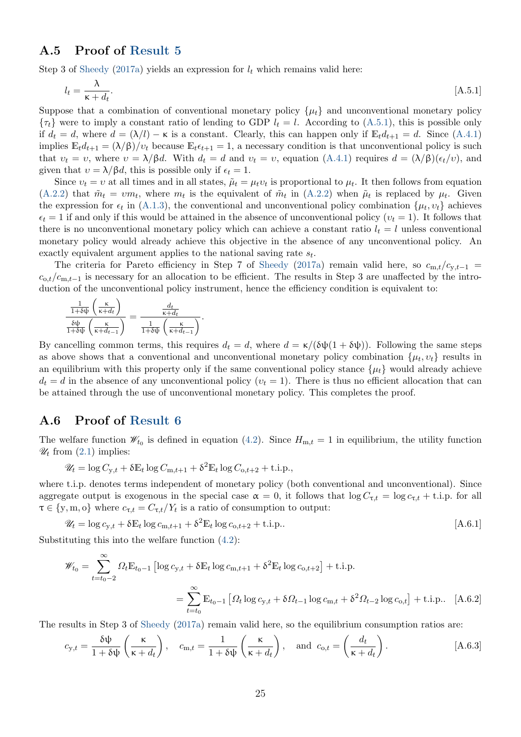#### <span id="page-26-2"></span><span id="page-26-0"></span>A.5 Proof of [Result 5](#page-17-1)

Step 3 of [Sheedy](#page-23-0) [\(2017a\)](#page-23-0) yields an expression for  $l_t$  which remains valid here:

<span id="page-26-3"></span>
$$
l_t = \frac{\lambda}{\kappa + d_t}.\tag{A.5.1}
$$

Suppose that a combination of conventional monetary policy  $\{\mu_t\}$  and unconventional monetary policy  $\{\tau_t\}$  were to imply a constant ratio of lending to GDP  $l_t = l$ . According to [\(A.5.1\)](#page-26-3), this is possible only if  $d_t = d$ , where  $d = (\lambda/l) - \kappa$  is a constant. Clearly, this can happen only if  $\mathbb{E}_t d_{t+1} = d$ . Since [\(A.4.1\)](#page-25-5) implies  $\mathbb{E}_t d_{t+1} = (\lambda/\beta)/v_t$  because  $\mathbb{E}_t \epsilon_{t+1} = 1$ , a necessary condition is that unconventional policy is such that  $v_t = v$ , where  $v = \lambda/\beta d$ . With  $d_t = d$  and  $v_t = v$ , equation [\(A.4.1\)](#page-25-5) requires  $d = (\lambda/\beta)(\epsilon_t/v)$ , and given that  $v = \lambda/\beta d$ , this is possible only if  $\epsilon_t = 1$ .

Since  $v_t = v$  at all times and in all states,  $\tilde{\mu}_t = \mu_t v_t$  is proportional to  $\mu_t$ . It then follows from equation [\(A.2.2\)](#page-25-4) that  $\tilde{m}_t = \nu m_t$ , where  $m_t$  is the equivalent of  $\tilde{m}_t$  in (A.2.2) when  $\tilde{\mu}_t$  is replaced by  $\mu_t$ . Given the expression for  $\epsilon_t$  in [\(A.1.3\)](#page-24-4), the conventional and unconventional policy combination  $\{\mu_t, v_t\}$  achieves  $\epsilon_t = 1$  if and only if this would be attained in the absence of unconventional policy  $(v_t = 1)$ . It follows that there is no unconventional monetary policy which can achieve a constant ratio  $l_t = l$  unless conventional monetary policy would already achieve this objective in the absence of any unconventional policy. An exactly equivalent argument applies to the national saving rate  $s_t$ .

The criteria for Pareto efficiency in Step 7 of [Sheedy](#page-23-0) [\(2017a\)](#page-23-0) remain valid here, so  $c_{m,t}/c_{y,t-1}$  =  $c_{0,t}/c_{m,t-1}$  is necessary for an allocation to be efficient. The results in Step 3 are unaffected by the introduction of the unconventional policy instrument, hence the efficiency condition is equivalent to:

$$
\frac{\frac{1}{1+\delta\psi}\left(\frac{\kappa}{\kappa+d_t}\right)}{\frac{\delta\psi}{1+\delta\psi}\left(\frac{\kappa}{\kappa+d_{t-1}}\right)} = \frac{\frac{d_t}{\kappa+d_t}}{\frac{1}{1+\delta\psi}\left(\frac{\kappa}{\kappa+d_{t-1}}\right)}.
$$

By cancelling common terms, this requires  $d_t = d$ , where  $d = \kappa/(\delta \psi(1 + \delta \psi))$ . Following the same steps as above shows that a conventional and unconventional monetary policy combination  $\{\mu_t, v_t\}$  results in an equilibrium with this property only if the same conventional policy stance  $\{\mu_t\}$  would already achieve  $d_t = d$  in the absence of any unconventional policy  $(v_t = 1)$ . There is thus no efficient allocation that can be attained through the use of unconventional monetary policy. This completes the proof.

#### <span id="page-26-1"></span>A.6 Proof of [Result 6](#page-18-2)

The welfare function  $\mathscr{W}_{t_0}$  is defined in equation [\(4.2\)](#page-18-0). Since  $H_{m,t} = 1$  in equilibrium, the utility function  $\mathscr{U}_t$  from  $(2.1)$  implies:

$$
\mathscr{U}_t = \log C_{y,t} + \delta \mathbb{E}_t \log C_{m,t+1} + \delta^2 \mathbb{E}_t \log C_{o,t+2} + \text{t.i.p.,}
$$

where t.i.p. denotes terms independent of monetary policy (both conventional and unconventional). Since aggregate output is exogenous in the special case  $\alpha = 0$ , it follows that  $\log C_{\tau,t} = \log c_{\tau,t} + \text{t.i.p.}$  for all  $\tau \in \{y, m, o\}$  where  $c_{\tau,t} = C_{\tau,t}/Y_t$  is a ratio of consumption to output:

$$
\mathscr{U}_t = \log c_{y,t} + \delta \mathbb{E}_t \log c_{m,t+1} + \delta^2 \mathbb{E}_t \log c_{o,t+2} + \text{t.i.p.} \tag{A.6.1}
$$

Substituting this into the welfare function [\(4.2\)](#page-18-0):

<span id="page-26-4"></span>
$$
\mathscr{W}_{t_0} = \sum_{t=t_0-2}^{\infty} \Omega_t \mathbb{E}_{t_0-1} \left[ \log c_{y,t} + \delta \mathbb{E}_t \log c_{m,t+1} + \delta^2 \mathbb{E}_t \log c_{o,t+2} \right] + \text{t.i.p.}
$$

$$
= \sum_{t=t_0}^{\infty} \mathbb{E}_{t_0-1} \left[ \Omega_t \log c_{y,t} + \delta \Omega_{t-1} \log c_{m,t} + \delta^2 \Omega_{t-2} \log c_{o,t} \right] + \text{t.i.p.} \quad \text{[A.6.2]}
$$

The results in Step 3 of [Sheedy](#page-23-0) [\(2017a\)](#page-23-0) remain valid here, so the equilibrium consumption ratios are:

$$
c_{y,t} = \frac{\delta \psi}{1 + \delta \psi} \left(\frac{\kappa}{\kappa + d_t}\right), \quad c_{m,t} = \frac{1}{1 + \delta \psi} \left(\frac{\kappa}{\kappa + d_t}\right), \quad \text{and} \quad c_{o,t} = \left(\frac{d_t}{\kappa + d_t}\right). \tag{A.6.3}
$$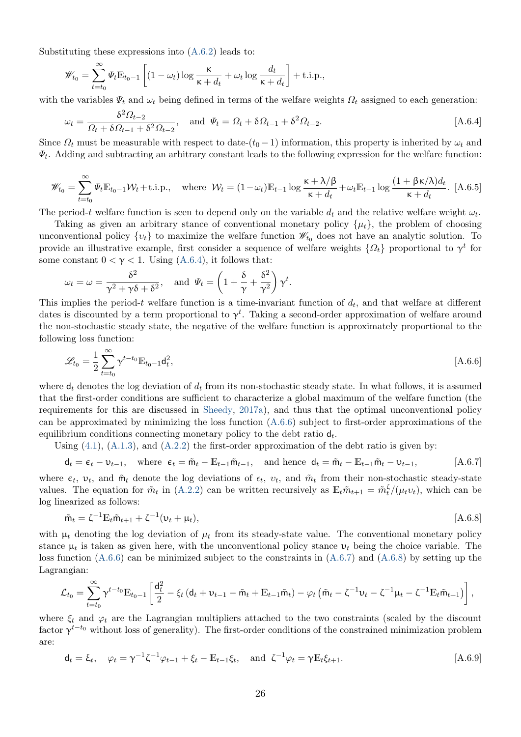<span id="page-27-0"></span>Substituting these expressions into [\(A.6.2\)](#page-26-4) leads to:

<span id="page-27-1"></span>
$$
\mathscr{W}_{t_0} = \sum_{t=t_0}^{\infty} \Psi_t \mathbb{E}_{t_0-1} \left[ (1 - \omega_t) \log \frac{\kappa}{\kappa + d_t} + \omega_t \log \frac{d_t}{\kappa + d_t} \right] + \text{t.i.p.,}
$$

with the variables  $\Psi_t$  and  $\omega_t$  being defined in terms of the welfare weights  $\Omega_t$  assigned to each generation:

$$
\omega_t = \frac{\delta^2 \Omega_{t-2}}{\Omega_t + \delta \Omega_{t-1} + \delta^2 \Omega_{t-2}}, \text{ and } \Psi_t = \Omega_t + \delta \Omega_{t-1} + \delta^2 \Omega_{t-2}.
$$
 [A.6.4]

<span id="page-27-5"></span>Since  $\Omega_t$  must be measurable with respect to date- $(t_0 - 1)$  information, this property is inherited by  $\omega_t$  and  $\Psi_t$ . Adding and subtracting an arbitrary constant leads to the following expression for the welfare function:

$$
\mathscr{W}_{t_0} = \sum_{t=t_0}^{\infty} \Psi_t \mathbb{E}_{t_0-1} \mathcal{W}_t + \text{i.i.p., where } \mathcal{W}_t = (1 - \omega_t) \mathbb{E}_{t-1} \log \frac{\kappa + \lambda/\beta}{\kappa + d_t} + \omega_t \mathbb{E}_{t-1} \log \frac{(1 + \beta \kappa/\lambda) d_t}{\kappa + d_t}.
$$
 [A.6.5]

The period-t welfare function is seen to depend only on the variable  $d_t$  and the relative welfare weight  $\omega_t$ .

Taking as given an arbitrary stance of conventional monetary policy  $\{\mu_t\}$ , the problem of choosing unconventional policy  $\{v_t\}$  to maximize the welfare function  $\mathscr{W}_{t_0}$  does not have an analytic solution. To provide an illustrative example, first consider a sequence of welfare weights  $\{\Omega_t\}$  proportional to  $\gamma^t$  for some constant  $0 < \gamma < 1$ . Using [\(A.6.4\)](#page-27-1), it follows that:

$$
\omega_t = \omega = \frac{\delta^2}{\gamma^2 + \gamma \delta + \delta^2}
$$
, and  $\Psi_t = \left(1 + \frac{\delta}{\gamma} + \frac{\delta^2}{\gamma^2}\right)\gamma^t$ .

This implies the period-t welfare function is a time-invariant function of  $d_t$ , and that welfare at different dates is discounted by a term proportional to  $\gamma^t$ . Taking a second-order approximation of welfare around the non-stochastic steady state, the negative of the welfare function is approximately proportional to the following loss function:

<span id="page-27-2"></span>
$$
\mathcal{L}_{t_0} = \frac{1}{2} \sum_{t=t_0}^{\infty} \gamma^{t-t_0} \mathbb{E}_{t_0 - 1} \mathsf{d}_t^2, \tag{A.6.6}
$$

where  $\mathsf{d}_t$  denotes the log deviation of  $d_t$  from its non-stochastic steady state. In what follows, it is assumed that the first-order conditions are sufficient to characterize a global maximum of the welfare function (the requirements for this are discussed in [Sheedy,](#page-23-0) [2017a\)](#page-23-0), and thus that the optimal unconventional policy can be approximated by minimizing the loss function  $(A.6.6)$  subject to first-order approximations of the equilibrium conditions connecting monetary policy to the debt ratio  $d_t$ .

Using  $(4.1)$ ,  $(A.1.3)$ , and  $(A.2.2)$  the first-order approximation of the debt ratio is given by:

<span id="page-27-3"></span>
$$
\mathsf{d}_t = \epsilon_t - \mathsf{v}_{t-1}, \quad \text{where } \epsilon_t = \tilde{\mathsf{m}}_t - \mathbb{E}_{t-1} \tilde{\mathsf{m}}_{t-1}, \quad \text{and hence } \mathsf{d}_t = \tilde{\mathsf{m}}_t - \mathbb{E}_{t-1} \tilde{\mathsf{m}}_t - \mathsf{v}_{t-1}, \tag{A.6.7}
$$

where  $\epsilon_t$ ,  $v_t$ , and  $\tilde{m}_t$  denote the log deviations of  $\epsilon_t$ ,  $v_t$ , and  $\tilde{m}_t$  from their non-stochastic steady-state values. The equation for  $\tilde{m}_t$  in [\(A.2.2\)](#page-25-4) can be written recursively as  $\mathbb{E}_t \tilde{m}_{t+1} = \tilde{m}_t^{\zeta} / (\mu_t v_t)$ , which can be log linearized as follows:

<span id="page-27-4"></span>
$$
\tilde{m}_t = \zeta^{-1} \mathbb{E}_t \tilde{m}_{t+1} + \zeta^{-1} (\nu_t + \mu_t), \tag{A.6.8}
$$

with  $\mu_t$  denoting the log deviation of  $\mu_t$  from its steady-state value. The conventional monetary policy stance  $\mu_t$  is taken as given here, with the unconventional policy stance  $\nu_t$  being the choice variable. The loss function  $(A.6.6)$  can be minimized subject to the constraints in  $(A.6.7)$  and  $(A.6.8)$  by setting up the Lagrangian:

$$
\mathcal{L}_{t_0} = \sum_{t=t_0}^{\infty} \gamma^{t-t_0} \mathbb{E}_{t_0-1} \left[ \frac{d_t^2}{2} - \xi_t \left( d_t + \nu_{t-1} - \tilde{m}_t + \mathbb{E}_{t-1} \tilde{m}_t \right) - \varphi_t \left( \tilde{m}_t - \zeta^{-1} \nu_t - \zeta^{-1} \mu_t - \zeta^{-1} \mathbb{E}_{t} \tilde{m}_{t+1} \right) \right],
$$

where  $\xi_t$  and  $\varphi_t$  are the Lagrangian multipliers attached to the two constraints (scaled by the discount factor  $\gamma^{t-t_0}$  without loss of generality). The first-order conditions of the constrained minimization problem are:

$$
d_t = \xi_t, \quad \varphi_t = \gamma^{-1} \zeta^{-1} \varphi_{t-1} + \xi_t - \mathbb{E}_{t-1} \xi_t, \quad \text{and} \quad \zeta^{-1} \varphi_t = \gamma \mathbb{E}_t \xi_{t+1}.
$$
 (A.6.9)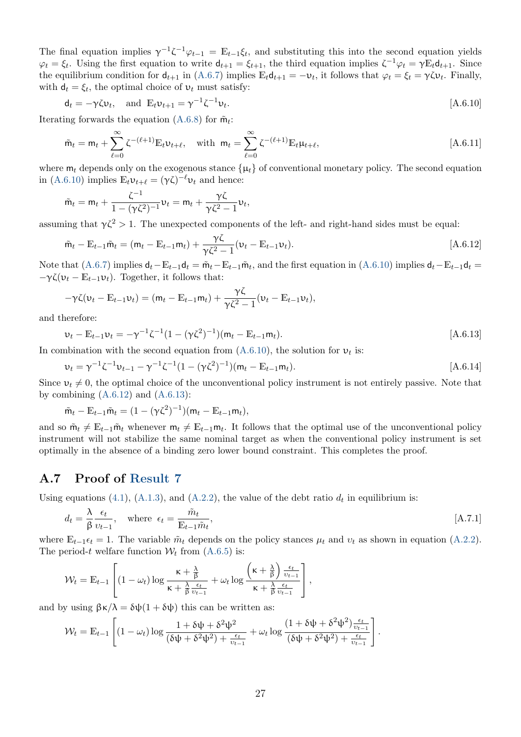The final equation implies  $\gamma^{-1}\zeta^{-1}\varphi_{t-1} = \mathbb{E}_{t-1}\zeta_t$ , and substituting this into the second equation yields  $\varphi_t = \xi_t$ . Using the first equation to write  $d_{t+1} = \xi_{t+1}$ , the third equation implies  $\zeta^{-1} \varphi_t = \gamma \mathbb{E}_t d_{t+1}$ . Since the equilibrium condition for  $d_{t+1}$  in [\(A.6.7\)](#page-27-3) implies  $\mathbb{E}_t d_{t+1} = -\nu_t$ , it follows that  $\varphi_t = \xi_t = \gamma \zeta \nu_t$ . Finally, with  $\mathbf{d}_t = \xi_t$ , the optimal choice of  $v_t$  must satisfy:

<span id="page-28-1"></span>
$$
\mathbf{d}_t = -\gamma \zeta \mathbf{v}_t, \quad \text{and } \mathbb{E}_t \mathbf{v}_{t+1} = \gamma^{-1} \zeta^{-1} \mathbf{v}_t.
$$

Iterating forwards the equation [\(A.6.8\)](#page-27-4) for  $\tilde{m}_t$ :

$$
\tilde{m}_t = m_t + \sum_{\ell=0}^{\infty} \zeta^{-(\ell+1)} \mathbb{E}_t v_{t+\ell}, \quad \text{with } m_t = \sum_{\ell=0}^{\infty} \zeta^{-(\ell+1)} \mathbb{E}_t \mu_{t+\ell}, \tag{A.6.11}
$$

where  $m_t$  depends only on the exogenous stance  $\{\mu_t\}$  of conventional monetary policy. The second equation in [\(A.6.10\)](#page-28-1) implies  $\mathbb{E}_t \nu_{t+\ell} = (\gamma \zeta)^{-\ell} \nu_t$  and hence:

<span id="page-28-2"></span>
$$
\tilde{m}_t = m_t + \frac{\zeta^{-1}}{1 - (\gamma \zeta^2)^{-1}} \nu_t = m_t + \frac{\gamma \zeta}{\gamma \zeta^2 - 1} \nu_t,
$$

assuming that  $\gamma \zeta^2 > 1$ . The unexpected components of the left- and right-hand sides must be equal:

$$
\tilde{m}_t - \mathbb{E}_{t-1}\tilde{m}_t = (m_t - \mathbb{E}_{t-1}m_t) + \frac{\gamma\zeta}{\gamma\zeta^2 - 1}(v_t - \mathbb{E}_{t-1}v_t).
$$
\n[A.6.12]

Note that [\(A.6.7\)](#page-27-3) implies  $d_t - \mathbb{E}_{t-1}d_t = \tilde{m}_t - \mathbb{E}_{t-1}\tilde{m}_t$ , and the first equation in [\(A.6.10\)](#page-28-1) implies  $d_t - \mathbb{E}_{t-1}d_t =$  $-\gamma \zeta(\nu_t - \mathbb{E}_{t-1}\nu_t)$ . Together, it follows that:

$$
-\gamma\zeta(\nu_t-\mathbb{E}_{t-1}\nu_t)=(\mathsf{m}_t-\mathbb{E}_{t-1}\mathsf{m}_t)+\frac{\gamma\zeta}{\gamma\zeta^2-1}(\nu_t-\mathbb{E}_{t-1}\nu_t),
$$

and therefore:

<span id="page-28-3"></span>
$$
\nu_t - \mathbb{E}_{t-1} \nu_t = -\gamma^{-1} \zeta^{-1} (1 - (\gamma \zeta^2)^{-1}) (\mathsf{m}_t - \mathbb{E}_{t-1} \mathsf{m}_t).
$$
\n[A.6.13]

In combination with the second equation from  $(A.6.10)$ , the solution for  $v_t$  is:

$$
\nu_t = \gamma^{-1} \zeta^{-1} \nu_{t-1} - \gamma^{-1} \zeta^{-1} (1 - (\gamma \zeta^2)^{-1}) (m_t - E_{t-1} m_t).
$$
 [A.6.14]

Since  $v_t \neq 0$ , the optimal choice of the unconventional policy instrument is not entirely passive. Note that by combining  $(A.6.12)$  and  $(A.6.13)$ :

$$
\tilde{m}_t - \mathbb{E}_{t-1} \tilde{m}_t = (1 - (\gamma \zeta^2)^{-1})(m_t - \mathbb{E}_{t-1} m_t),
$$

and so  $\tilde{m}_t \neq \mathbb{E}_{t-1} \tilde{m}_t$  whenever  $m_t \neq \mathbb{E}_{t-1} m_t$ . It follows that the optimal use of the unconventional policy instrument will not stabilize the same nominal target as when the conventional policy instrument is set optimally in the absence of a binding zero lower bound constraint. This completes the proof.

#### <span id="page-28-0"></span>A.7 Proof of [Result 7](#page-19-1)

Using equations [\(4.1\)](#page-15-1), [\(A.1.3\)](#page-24-4), and [\(A.2.2\)](#page-25-4), the value of the debt ratio  $d_t$  in equilibrium is:

$$
d_t = \frac{\lambda}{\beta} \frac{\epsilon_t}{v_{t-1}}, \quad \text{where } \epsilon_t = \frac{\tilde{m}_t}{\mathbb{E}_{t-1} \tilde{m}_t}, \tag{A.7.1}
$$

where  $\mathbb{E}_{t-1} \epsilon_t = 1$ . The variable  $\tilde{m}_t$  depends on the policy stances  $\mu_t$  and  $v_t$  as shown in equation [\(A.2.2\)](#page-25-4). The period-t welfare function  $W_t$  from [\(A.6.5\)](#page-27-5) is:

$$
\mathcal{W}_t = \mathbb{E}_{t-1} \left[ (1 - \omega_t) \log \frac{\kappa + \frac{\lambda}{\beta}}{\kappa + \frac{\lambda}{\beta} \frac{\epsilon_t}{v_{t-1}}} + \omega_t \log \frac{\left(\kappa + \frac{\lambda}{\beta}\right) \frac{\epsilon_t}{v_{t-1}}}{\kappa + \frac{\lambda}{\beta} \frac{\epsilon_t}{v_{t-1}}} \right],
$$

and by using  $\beta \kappa / \lambda = \delta \psi (1 + \delta \psi)$  this can be written as:

$$
\mathcal{W}_t = \mathbb{E}_{t-1} \left[ (1 - \omega_t) \log \frac{1 + \delta \psi + \delta^2 \psi^2}{(\delta \psi + \delta^2 \psi^2) + \frac{\epsilon_t}{\nu_{t-1}}} + \omega_t \log \frac{(1 + \delta \psi + \delta^2 \psi^2) \frac{\epsilon_t}{\nu_{t-1}}}{(\delta \psi + \delta^2 \psi^2) + \frac{\epsilon_t}{\nu_{t-1}}} \right].
$$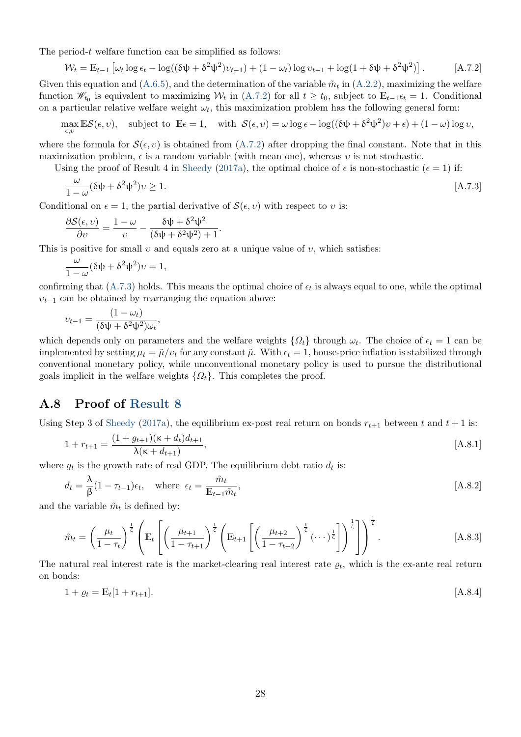<span id="page-29-1"></span>The period-t welfare function can be simplified as follows:

<span id="page-29-2"></span>
$$
\mathcal{W}_t = \mathbb{E}_{t-1} \left[ \omega_t \log \epsilon_t - \log((\delta \psi + \delta^2 \psi^2) v_{t-1}) + (1 - \omega_t) \log v_{t-1} + \log(1 + \delta \psi + \delta^2 \psi^2) \right]. \tag{A.7.2}
$$

Given this equation and  $(A.6.5)$ , and the determination of the variable  $\tilde{m}_t$  in  $(A.2.2)$ , maximizing the welfare function  $\mathscr{W}_{t_0}$  is equivalent to maximizing  $\mathcal{W}_t$  in [\(A.7.2\)](#page-29-2) for all  $t \geq t_0$ , subject to  $\mathbb{E}_{t-1} \epsilon_t = 1$ . Conditional on a particular relative welfare weight  $\omega_t$ , this maximization problem has the following general form:

$$
\max_{\epsilon, v} \mathbb{E} \mathcal{S}(\epsilon, v), \quad \text{subject to } \mathbb{E} \epsilon = 1, \quad \text{with } \mathcal{S}(\epsilon, v) = \omega \log \epsilon - \log((\delta \psi + \delta^2 \psi^2)v + \epsilon) + (1 - \omega) \log v,
$$

where the formula for  $\mathcal{S}(\epsilon, v)$  is obtained from [\(A.7.2\)](#page-29-2) after dropping the final constant. Note that in this maximization problem,  $\epsilon$  is a random variable (with mean one), whereas v is not stochastic.

Using the proof of Result 4 in [Sheedy](#page-23-0) [\(2017a\)](#page-23-0), the optimal choice of  $\epsilon$  is non-stochastic ( $\epsilon = 1$ ) if:

<span id="page-29-3"></span>
$$
\frac{\omega}{1-\omega}(\delta\psi + \delta^2\psi^2)v \ge 1.
$$
 [A.7.3]

Conditional on  $\epsilon = 1$ , the partial derivative of  $\mathcal{S}(\epsilon, v)$  with respect to v is:

$$
\frac{\partial S(\epsilon, v)}{\partial v} = \frac{1 - \omega}{v} - \frac{\delta \psi + \delta^2 \psi^2}{(\delta \psi + \delta^2 \psi^2) + 1}.
$$

This is positive for small  $v$  and equals zero at a unique value of  $v$ , which satisfies:

$$
\frac{\omega}{1-\omega}(\delta\psi + \delta^2\psi^2)v = 1,
$$

confirming that  $(A.7.3)$  holds. This means the optimal choice of  $\epsilon_t$  is always equal to one, while the optimal  $v_{t-1}$  can be obtained by rearranging the equation above:

$$
v_{t-1} = \frac{(1 - \omega_t)}{(\delta \psi + \delta^2 \psi^2) \omega_t},
$$

which depends only on parameters and the welfare weights  $\{\Omega_t\}$  through  $\omega_t$ . The choice of  $\epsilon_t = 1$  can be implemented by setting  $\mu_t = \tilde{\mu}/v_t$  for any constant  $\tilde{\mu}$ . With  $\epsilon_t = 1$ , house-price inflation is stabilized through conventional monetary policy, while unconventional monetary policy is used to pursue the distributional goals implicit in the welfare weights  $\{\Omega_t\}$ . This completes the proof.

#### <span id="page-29-0"></span>A.8 Proof of [Result 8](#page-20-1)

Using Step 3 of [Sheedy](#page-23-0) [\(2017a\)](#page-23-0), the equilibrium ex-post real return on bonds  $r_{t+1}$  between t and  $t+1$  is:

<span id="page-29-5"></span><span id="page-29-4"></span>
$$
1 + r_{t+1} = \frac{(1 + g_{t+1})(\kappa + d_t)d_{t+1}}{\lambda(\kappa + d_{t+1})},
$$
\n
$$
[A.8.1]
$$

where  $g_t$  is the growth rate of real GDP. The equilibrium debt ratio  $d_t$  is:

<span id="page-29-7"></span>
$$
d_t = \frac{\lambda}{\beta} (1 - \tau_{t-1}) \epsilon_t, \quad \text{where } \epsilon_t = \frac{\tilde{m}_t}{\mathbb{E}_{t-1} \tilde{m}_t}, \tag{A.8.2}
$$

and the variable  $\tilde{m}_t$  is defined by:

$$
\tilde{m}_t = \left(\frac{\mu_t}{1-\tau_t}\right)^{\frac{1}{\zeta}} \left(\mathbb{E}_t \left[ \left(\frac{\mu_{t+1}}{1-\tau_{t+1}}\right)^{\frac{1}{\zeta}} \left(\mathbb{E}_{t+1} \left[ \left(\frac{\mu_{t+2}}{1-\tau_{t+2}}\right)^{\frac{1}{\zeta}} (\cdots)^\frac{1}{\zeta} \right] \right) \right]^{\frac{1}{\zeta}} \right].
$$
\n[A.8.3]

The natural real interest rate is the market-clearing real interest rate  $\rho_t$ , which is the ex-ante real return on bonds:

<span id="page-29-6"></span>
$$
1 + \varrho_t = \mathbb{E}_t[1 + r_{t+1}]. \tag{A.8.4}
$$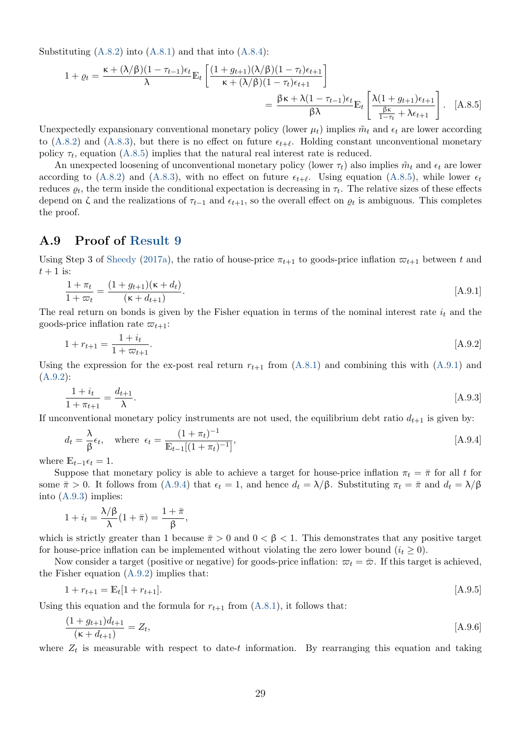<span id="page-30-1"></span>Substituting  $(A.8.2)$  into  $(A.8.1)$  and that into  $(A.8.4)$ :

<span id="page-30-2"></span>
$$
1 + \varrho_t = \frac{\kappa + (\lambda/\beta)(1 - \tau_{t-1})\epsilon_t}{\lambda} \mathbb{E}_t \left[ \frac{(1 + g_{t+1})(\lambda/\beta)(1 - \tau_t)\epsilon_{t+1}}{\kappa + (\lambda/\beta)(1 - \tau_t)\epsilon_{t+1}} \right]
$$
  
= 
$$
\frac{\beta\kappa + \lambda(1 - \tau_{t-1})\epsilon_t}{\beta\lambda} \mathbb{E}_t \left[ \frac{\lambda(1 + g_{t+1})\epsilon_{t+1}}{\frac{\beta\kappa}{1 - \tau_t} + \lambda\epsilon_{t+1}} \right].
$$
 [A.8.5]

Unexpectedly expansionary conventional monetary policy (lower  $\mu_t$ ) implies  $\tilde{m}_t$  and  $\epsilon_t$  are lower according to [\(A.8.2\)](#page-29-4) and [\(A.8.3\)](#page-29-7), but there is no effect on future  $\epsilon_{t+\ell}$ . Holding constant unconventional monetary policy  $\tau_t$ , equation [\(A.8.5\)](#page-30-2) implies that the natural real interest rate is reduced.

An unexpected loosening of unconventional monetary policy (lower  $\tau_t$ ) also implies  $\tilde{m}_t$  and  $\epsilon_t$  are lower according to [\(A.8.2\)](#page-29-4) and [\(A.8.3\)](#page-29-7), with no effect on future  $\epsilon_{t+\ell}$ . Using equation [\(A.8.5\)](#page-30-2), while lower  $\epsilon_t$ reduces  $\rho_t$ , the term inside the conditional expectation is decreasing in  $\tau_t$ . The relative sizes of these effects depend on  $\zeta$  and the realizations of  $\tau_{t-1}$  and  $\epsilon_{t+1}$ , so the overall effect on  $\rho_t$  is ambiguous. This completes the proof.

#### <span id="page-30-0"></span>A.9 Proof of [Result 9](#page-21-1)

Using Step 3 of [Sheedy](#page-23-0) [\(2017a\)](#page-23-0), the ratio of house-price  $\pi_{t+1}$  to goods-price inflation  $\varpi_{t+1}$  between t and  $t+1$  is:

<span id="page-30-3"></span>
$$
\frac{1+\pi_t}{1+\pi_t} = \frac{(1+g_{t+1})(\kappa + d_t)}{(\kappa + d_{t+1})}.
$$
\n(A.9.1)

The real return on bonds is given by the Fisher equation in terms of the nominal interest rate  $i_t$  and the goods-price inflation rate  $\varpi_{t+1}$ :

<span id="page-30-4"></span>
$$
1 + r_{t+1} = \frac{1 + i_t}{1 + \varpi_{t+1}}.\tag{A.9.2}
$$

Using the expression for the ex-post real return  $r_{t+1}$  from [\(A.8.1\)](#page-29-5) and combining this with [\(A.9.1\)](#page-30-3) and [\(A.9.2\)](#page-30-4):

<span id="page-30-6"></span><span id="page-30-5"></span>
$$
\frac{1+i_t}{1+\pi_{t+1}} = \frac{d_{t+1}}{\lambda}.
$$
 [A.9.3]

If unconventional monetary policy instruments are not used, the equilibrium debt ratio  $d_{t+1}$  is given by:

$$
d_t = \frac{\lambda}{\beta} \epsilon_t, \quad \text{where } \epsilon_t = \frac{(1 + \pi_t)^{-1}}{\mathbb{E}_{t-1}[(1 + \pi_t)^{-1}]}, \tag{A.9.4}
$$

where  $\mathbb{E}_{t-1}\epsilon_t = 1$ .

Suppose that monetary policy is able to achieve a target for house-price inflation  $\pi_t = \bar{\pi}$  for all t for some  $\bar{\pi} > 0$ . It follows from [\(A.9.4\)](#page-30-5) that  $\epsilon_t = 1$ , and hence  $d_t = \lambda/\beta$ . Substituting  $\pi_t = \bar{\pi}$  and  $d_t = \lambda/\beta$ into [\(A.9.3\)](#page-30-6) implies:

$$
1 + i_t = \frac{\lambda/\beta}{\lambda}(1 + \bar{\pi}) = \frac{1 + \bar{\pi}}{\beta},
$$

which is strictly greater than 1 because  $\bar{\pi} > 0$  and  $0 < \beta < 1$ . This demonstrates that any positive target for house-price inflation can be implemented without violating the zero lower bound  $(i_t \geq 0)$ .

Now consider a target (positive or negative) for goods-price inflation:  $\varpi_t = \bar{\varpi}$ . If this target is achieved, the Fisher equation [\(A.9.2\)](#page-30-4) implies that:

<span id="page-30-8"></span>
$$
1 + r_{t+1} = \mathbb{E}_t[1 + r_{t+1}]. \tag{A.9.5}
$$

Using this equation and the formula for  $r_{t+1}$  from [\(A.8.1\)](#page-29-5), it follows that:

<span id="page-30-7"></span>
$$
\frac{(1+g_{t+1})d_{t+1}}{(\kappa+d_{t+1})} = Z_t, \tag{A.9.6}
$$

where  $Z_t$  is measurable with respect to date-t information. By rearranging this equation and taking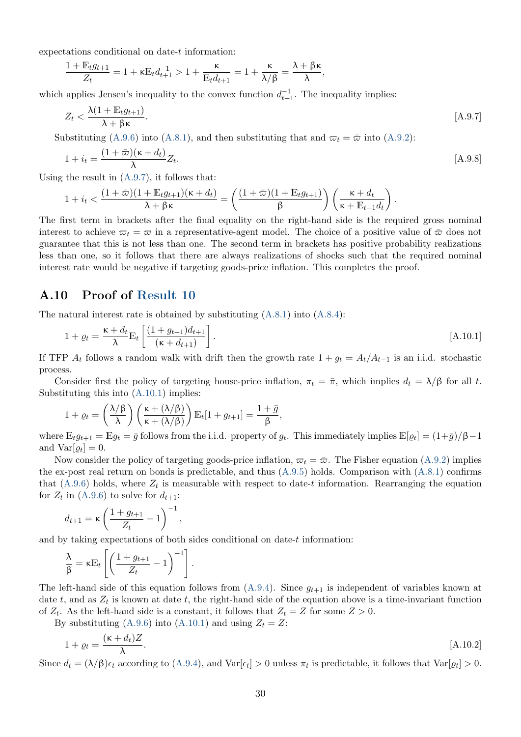expectations conditional on date-t information:

$$
\frac{1+\mathbb{E}_t g_{t+1}}{Z_t}=1+\kappa \mathbb{E}_t d_{t+1}^{-1}>1+\frac{\kappa}{\mathbb{E}_t d_{t+1}}=1+\frac{\kappa}{\lambda/\beta}=\frac{\lambda+\beta\kappa}{\lambda},
$$

which applies Jensen's inequality to the convex function  $d_{t+1}^{-1}$ . The inequality implies:

<span id="page-31-1"></span>
$$
Z_t < \frac{\lambda (1 + \mathbb{E}_t g_{t+1})}{\lambda + \beta \kappa}.\tag{A.9.7}
$$

Substituting [\(A.9.6\)](#page-30-7) into [\(A.8.1\)](#page-29-5), and then substituting that and  $\varpi_t = \bar{\varpi}$  into [\(A.9.2\)](#page-30-4):

$$
1 + i_t = \frac{(1 + \bar{\varpi})(\kappa + d_t)}{\lambda} Z_t.
$$
 [A.9.8]

Using the result in [\(A.9.7\)](#page-31-1), it follows that:

$$
1+i_t < \frac{(1+\bar{\varpi})(1+\mathbb{E}_t g_{t+1})(\kappa+d_t)}{\lambda+\beta\kappa} = \left(\frac{(1+\bar{\varpi})(1+\mathbb{E}_t g_{t+1})}{\beta}\right)\left(\frac{\kappa+d_t}{\kappa+\mathbb{E}_{t-1}d_t}\right).
$$

The first term in brackets after the final equality on the right-hand side is the required gross nominal interest to achieve  $\overline{\omega}_t = \overline{\omega}$  in a representative-agent model. The choice of a positive value of  $\overline{\omega}$  does not guarantee that this is not less than one. The second term in brackets has positive probability realizations less than one, so it follows that there are always realizations of shocks such that the required nominal interest rate would be negative if targeting goods-price inflation. This completes the proof.

#### <span id="page-31-0"></span>A.10 Proof of [Result 10](#page-21-2)

The natural interest rate is obtained by substituting [\(A.8.1\)](#page-29-5) into [\(A.8.4\)](#page-29-6):

<span id="page-31-2"></span>
$$
1 + \varrho_t = \frac{\kappa + d_t}{\lambda} \mathbb{E}_t \left[ \frac{(1 + g_{t+1})d_{t+1}}{(\kappa + d_{t+1})} \right].
$$
 [A.10.1]

If TFP  $A_t$  follows a random walk with drift then the growth rate  $1 + g_t = A_t/A_{t-1}$  is an i.i.d. stochastic process.

Consider first the policy of targeting house-price inflation,  $\pi_t = \bar{\pi}$ , which implies  $d_t = \lambda/\beta$  for all t. Substituting this into [\(A.10.1\)](#page-31-2) implies:

$$
1 + \varrho_t = \left(\frac{\lambda/\beta}{\lambda}\right) \left(\frac{\kappa + (\lambda/\beta)}{\kappa + (\lambda/\beta)}\right) \mathbb{E}_t[1 + g_{t+1}] = \frac{1 + \bar{g}}{\beta},
$$

where  $\mathbb{E}_t g_{t+1} = \mathbb{E} g_t = \bar{g}$  follows from the i.i.d. property of  $g_t$ . This immediately implies  $\mathbb{E}[\varrho_t] = (1 + \bar{g})/\beta - 1$ and  $Var[\varrho_t] = 0$ .

Now consider the policy of targeting goods-price inflation,  $\varpi_t = \bar{\varpi}$ . The Fisher equation [\(A.9.2\)](#page-30-4) implies the ex-post real return on bonds is predictable, and thus  $(A.9.5)$  holds. Comparison with  $(A.8.1)$  confirms that  $(A.9.6)$  holds, where  $Z_t$  is measurable with respect to date-t information. Rearranging the equation for  $Z_t$  in [\(A.9.6\)](#page-30-7) to solve for  $d_{t+1}$ :

$$
d_{t+1} = \kappa \left(\frac{1+g_{t+1}}{Z_t} - 1\right)^{-1},
$$

and by taking expectations of both sides conditional on date- $t$  information:

$$
\frac{\lambda}{\beta} = \kappa \mathbb{E}_t \left[ \left( \frac{1 + g_{t+1}}{Z_t} - 1 \right)^{-1} \right].
$$

The left-hand side of this equation follows from  $(A.9.4)$ . Since  $g_{t+1}$  is independent of variables known at date t, and as  $Z_t$  is known at date t, the right-hand side of the equation above is a time-invariant function of  $Z_t$ . As the left-hand side is a constant, it follows that  $Z_t = Z$  for some  $Z > 0$ .

By substituting [\(A.9.6\)](#page-30-7) into [\(A.10.1\)](#page-31-2) and using  $Z_t = Z$ :

<span id="page-31-3"></span>
$$
1 + \varrho_t = \frac{(\kappa + d_t)Z}{\lambda}.
$$
 [A.10.2]

Since  $d_t = (\lambda/\beta)\epsilon_t$  according to  $(A.9.4)$ , and  $Var[\epsilon_t] > 0$  unless  $\pi_t$  is predictable, it follows that  $Var[\varrho_t] > 0$ .